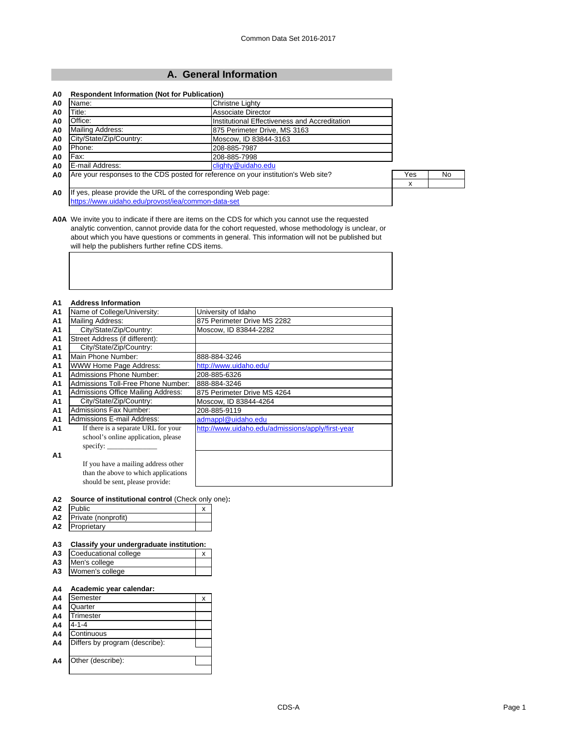### **A. General Information**

| A0             | Name:                                                         | <b>Christne Lighty</b>                                                             |     |     |
|----------------|---------------------------------------------------------------|------------------------------------------------------------------------------------|-----|-----|
| A0             | Title:                                                        | Associate Director                                                                 |     |     |
| A0             | Office:                                                       | Institutional Effectiveness and Accreditation                                      |     |     |
| A <sub>0</sub> | Mailing Address:                                              | 875 Perimeter Drive. MS 3163                                                       |     |     |
| A0             | City/State/Zip/Country:                                       | Moscow. ID 83844-3163                                                              |     |     |
| A0             | Phone:                                                        | 208-885-7987                                                                       |     |     |
| A0             | Fax:                                                          | 208-885-7998                                                                       |     |     |
| A <sub>0</sub> | E-mail Address:                                               | clighty@uidaho.edu                                                                 |     |     |
| A <sub>0</sub> |                                                               | Are your responses to the CDS posted for reference on your institution's Web site? | Yes | No. |
|                |                                                               |                                                                                    | x   |     |
| A <sub>0</sub> | If yes, please provide the URL of the corresponding Web page: |                                                                                    |     |     |
|                | https://www.uidaho.edu/provost/iea/common-data-set            |                                                                                    |     |     |

**A0A** We invite you to indicate if there are items on the CDS for which you cannot use the requested analytic convention, cannot provide data for the cohort requested, whose methodology is unclear, or about which you have questions or comments in general. This information will not be published but will help the publishers further refine CDS items.

### **A1 Address Information**

| A <sub>1</sub> | Name of College/University:               | University of Idaho                               |
|----------------|-------------------------------------------|---------------------------------------------------|
| A <sub>1</sub> | Mailing Address:                          | 875 Perimeter Drive MS 2282                       |
| A <sub>1</sub> | City/State/Zip/Country:                   | Moscow, ID 83844-2282                             |
| A1             | Street Address (if different):            |                                                   |
| A <sub>1</sub> | City/State/Zip/Country:                   |                                                   |
| A <sub>1</sub> | Main Phone Number:                        | 888-884-3246                                      |
| A <sub>1</sub> | <b>WWW Home Page Address:</b>             | http://www.uidaho.edu/                            |
| A <sub>1</sub> | Admissions Phone Number:                  | 208-885-6326                                      |
| A <sub>1</sub> | Admissions Toll-Free Phone Number:        | 888-884-3246                                      |
| A <sub>1</sub> | <b>Admissions Office Mailing Address:</b> | 875 Perimeter Drive MS 4264                       |
| A <sub>1</sub> | City/State/Zip/Country:                   | Moscow, ID 83844-4264                             |
| A <sub>1</sub> | <b>Admissions Fax Number:</b>             | 208-885-9119                                      |
| A <sub>1</sub> | Admissions E-mail Address:                | admappl@uidaho.edu                                |
| A1             | If there is a separate URL for your       | http://www.uidaho.edu/admissions/apply/first-year |
|                | school's online application, please       |                                                   |
|                | specify:                                  |                                                   |
| A1             |                                           |                                                   |
|                | If you have a mailing address other       |                                                   |
|                | than the above to which applications      |                                                   |
|                | should be sent, please provide:           |                                                   |

#### **A2 Source of institutional control** (Check only one)**:**

| Α2             | <b>Public</b>       |  |
|----------------|---------------------|--|
| А2             | Private (nonprofit) |  |
| A <sub>2</sub> | Proprietary         |  |

### **A3 Classify your undergraduate institution:**

| A <sub>3</sub> | Coeducational college |  |
|----------------|-----------------------|--|
| A3             | Men's college         |  |

**A3** Women's college

### **A4 Academic year calendar:**

| A <sub>4</sub> | Semester                       | x |
|----------------|--------------------------------|---|
| A <sub>4</sub> | Quarter                        |   |
| A <sub>4</sub> | Trimester                      |   |
| A <sub>4</sub> | $4 - 1 - 4$                    |   |
| A <sub>4</sub> | Continuous                     |   |
| A4             | Differs by program (describe): |   |
|                |                                |   |
| A4             | Other (describe):              |   |
|                |                                |   |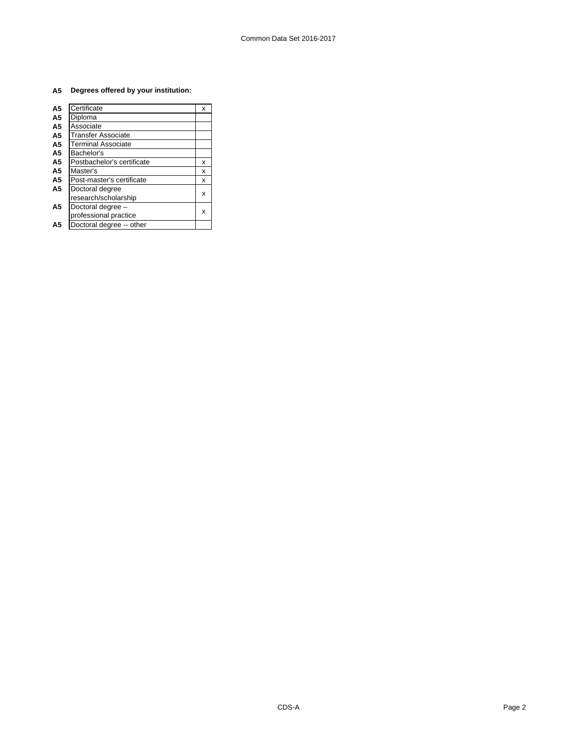### **A5 Degrees offered by your institution:**

| A5             | Certificate                | x |
|----------------|----------------------------|---|
| A <sub>5</sub> | Diploma                    |   |
| A5             | Associate                  |   |
| A5             | <b>Transfer Associate</b>  |   |
| A5             | <b>Terminal Associate</b>  |   |
| A5             | Bachelor's                 |   |
| A5             | Postbachelor's certificate | x |
| A5             | Master's                   | x |
| A5             | Post-master's certificate  | x |
| A5             | Doctoral degree            |   |
|                | research/scholarship       | х |
| А5             | Doctoral degree -          |   |
|                | professional practice      | x |
| А5             | Doctoral degree -- other   |   |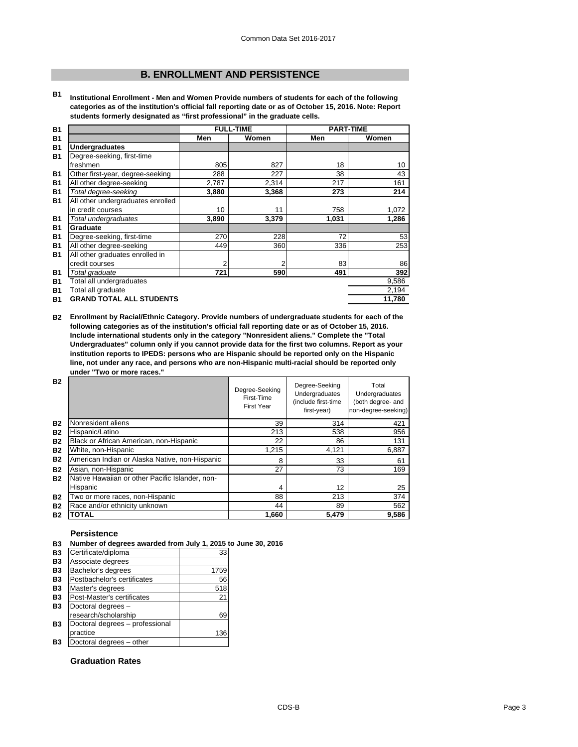## **B. ENROLLMENT AND PERSISTENCE**

**B1 Institutional Enrollment - Men and Women Provide numbers of students for each of the following categories as of the institution's official fall reporting date or as of October 15, 2016. Note: Report students formerly designated as "first professional" in the graduate cells.**

| <b>B1</b> | <b>FULL-TIME</b>                  |       | <b>PART-TIME</b> |       |        |
|-----------|-----------------------------------|-------|------------------|-------|--------|
| <b>B1</b> |                                   | Men   | Women            | Men   | Women  |
| <b>B1</b> | <b>Undergraduates</b>             |       |                  |       |        |
| <b>B1</b> | Degree-seeking, first-time        |       |                  |       |        |
|           | freshmen                          | 805   | 827              | 18    | 10     |
| <b>B1</b> | Other first-year, degree-seeking  | 288   | 227              | 38    | 43     |
| <b>B1</b> | All other degree-seeking          | 2,787 | 2,314            | 217   | 161    |
| <b>B1</b> | Total degree-seeking              | 3,880 | 3,368            | 273   | 214    |
| <b>B1</b> | All other undergraduates enrolled |       |                  |       |        |
|           | in credit courses                 | 10    | 11               | 758   | 1,072  |
| <b>B1</b> | Total undergraduates              | 3,890 | 3,379            | 1,031 | 1.286  |
| <b>B1</b> | Graduate                          |       |                  |       |        |
| <b>B1</b> | Degree-seeking, first-time        | 270   | 228              | 72    | 53     |
| <b>B1</b> | All other degree-seeking          | 449   | 360              | 336   | 253    |
| <b>B1</b> | All other graduates enrolled in   |       |                  |       |        |
|           | credit courses                    | 2     | 2                | 83    | 86     |
| <b>B1</b> | Total graduate                    | 721   | 590              | 491   | 392    |
| <b>B1</b> | Total all undergraduates          |       |                  |       | 9,586  |
| <b>B1</b> | Total all graduate                |       |                  |       | 2,194  |
| <b>B1</b> | <b>GRAND TOTAL ALL STUDENTS</b>   |       |                  |       | 11.780 |

**B2 Enrollment by Racial/Ethnic Category. Provide numbers of undergraduate students for each of the following categories as of the institution's official fall reporting date or as of October 15, 2016. Include international students only in the category "Nonresident aliens." Complete the "Total Undergraduates" column only if you cannot provide data for the first two columns. Report as your institution reports to IPEDS: persons who are Hispanic should be reported only on the Hispanic line, not under any race, and persons who are non-Hispanic multi-racial should be reported only under "Two or more races."** 

| <b>B2</b> |                                                 | Degree-Seeking<br>First-Time<br><b>First Year</b> | Degree-Seeking<br>Undergraduates<br>(include first-time<br>first-year) | Total<br>Undergraduates<br>(both degree- and<br>non-degree-seeking) |
|-----------|-------------------------------------------------|---------------------------------------------------|------------------------------------------------------------------------|---------------------------------------------------------------------|
| <b>B2</b> | Nonresident aliens                              | 39                                                | 314                                                                    | 421                                                                 |
| <b>B2</b> | Hispanic/Latino                                 | 213                                               | 538                                                                    | 956                                                                 |
| <b>B2</b> | Black or African American, non-Hispanic         | 22                                                | 86                                                                     | 131                                                                 |
| <b>B2</b> | White, non-Hispanic                             | 1.215                                             | 4,121                                                                  | 6,887                                                               |
| <b>B2</b> | American Indian or Alaska Native, non-Hispanic  | 8                                                 | 33                                                                     | 61                                                                  |
| <b>B2</b> | Asian, non-Hispanic                             | 27                                                | 73                                                                     | 169                                                                 |
| <b>B2</b> | Native Hawaiian or other Pacific Islander, non- |                                                   |                                                                        |                                                                     |
|           | Hispanic                                        | 4                                                 | 12                                                                     | 25                                                                  |
| <b>B2</b> | Two or more races, non-Hispanic                 | 88                                                | 213                                                                    | 374                                                                 |
| <b>B2</b> | Race and/or ethnicity unknown                   | 44                                                | 89                                                                     | 562                                                                 |
| <b>B2</b> | <b>TOTAL</b>                                    | 1,660                                             | 5,479                                                                  | 9.586                                                               |

### **Persistence**

**B3 Number of degrees awarded from July 1, 2015 to June 30, 2016**

| Certificate/diploma             | 33   |
|---------------------------------|------|
| Associate degrees               |      |
| Bachelor's degrees              | 1759 |
| Postbachelor's certificates     | 56   |
| Master's degrees                | 518  |
| Post-Master's certificates      | 21   |
| Doctoral degrees -              |      |
| research/scholarship            | 69   |
| Doctoral degrees - professional |      |
| practice                        | 136  |
| Doctoral degrees - other        |      |

### **Graduation Rates**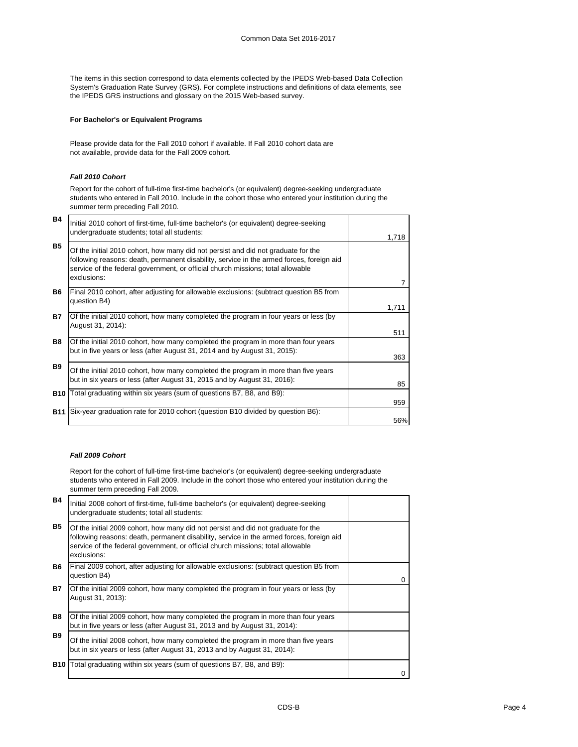The items in this section correspond to data elements collected by the IPEDS Web-based Data Collection System's Graduation Rate Survey (GRS). For complete instructions and definitions of data elements, see the IPEDS GRS instructions and glossary on the 2015 Web-based survey.

### **For Bachelor's or Equivalent Programs**

Please provide data for the Fall 2010 cohort if available. If Fall 2010 cohort data are not available, provide data for the Fall 2009 cohort.

### *Fall 2010 Cohort*

Report for the cohort of full-time first-time bachelor's (or equivalent) degree-seeking undergraduate students who entered in Fall 2010. Include in the cohort those who entered your institution during the summer term preceding Fall 2010.

| <b>B4</b>  | Initial 2010 cohort of first-time, full-time bachelor's (or equivalent) degree-seeking<br>undergraduate students; total all students:                                                                                                                                           | 1,718 |
|------------|---------------------------------------------------------------------------------------------------------------------------------------------------------------------------------------------------------------------------------------------------------------------------------|-------|
| <b>B5</b>  | Of the initial 2010 cohort, how many did not persist and did not graduate for the<br>following reasons: death, permanent disability, service in the armed forces, foreign aid<br>service of the federal government, or official church missions; total allowable<br>exclusions: |       |
| <b>B6</b>  | Final 2010 cohort, after adjusting for allowable exclusions: (subtract question B5 from<br>question B4)                                                                                                                                                                         | 1,711 |
| <b>B7</b>  | Of the initial 2010 cohort, how many completed the program in four years or less (by<br>August 31, 2014):                                                                                                                                                                       | 511   |
| <b>B8</b>  | Of the initial 2010 cohort, how many completed the program in more than four years<br>but in five years or less (after August 31, 2014 and by August 31, 2015):                                                                                                                 | 363   |
| <b>B</b> 9 | Of the initial 2010 cohort, how many completed the program in more than five years<br>but in six years or less (after August 31, 2015 and by August 31, 2016):                                                                                                                  | 85    |
|            | <b>B10</b> Total graduating within six years (sum of questions B7, B8, and B9):                                                                                                                                                                                                 | 959   |
|            | <b>B11</b> Six-year graduation rate for 2010 cohort (question B10 divided by question B6):                                                                                                                                                                                      | 56%   |

#### *Fall 2009 Cohort*

Report for the cohort of full-time first-time bachelor's (or equivalent) degree-seeking undergraduate students who entered in Fall 2009. Include in the cohort those who entered your institution during the summer term preceding Fall 2009.

| <b>B4</b>  | Initial 2008 cohort of first-time, full-time bachelor's (or equivalent) degree-seeking<br>undergraduate students; total all students:                                                                                                                                           |   |
|------------|---------------------------------------------------------------------------------------------------------------------------------------------------------------------------------------------------------------------------------------------------------------------------------|---|
| <b>B5</b>  | Of the initial 2009 cohort, how many did not persist and did not graduate for the<br>following reasons: death, permanent disability, service in the armed forces, foreign aid<br>service of the federal government, or official church missions; total allowable<br>exclusions: |   |
| B6.        | Final 2009 cohort, after adjusting for allowable exclusions: (subtract question B5 from<br>question B4)                                                                                                                                                                         | 0 |
| <b>B7</b>  | Of the initial 2009 cohort, how many completed the program in four years or less (by<br>August 31, 2013):                                                                                                                                                                       |   |
| <b>B8</b>  | Of the initial 2009 cohort, how many completed the program in more than four years<br>but in five years or less (after August 31, 2013 and by August 31, 2014):                                                                                                                 |   |
| <b>B9</b>  | Of the initial 2008 cohort, how many completed the program in more than five years<br>but in six years or less (after August 31, 2013 and by August 31, 2014):                                                                                                                  |   |
| <b>B10</b> | Total graduating within six years (sum of questions B7, B8, and B9):                                                                                                                                                                                                            |   |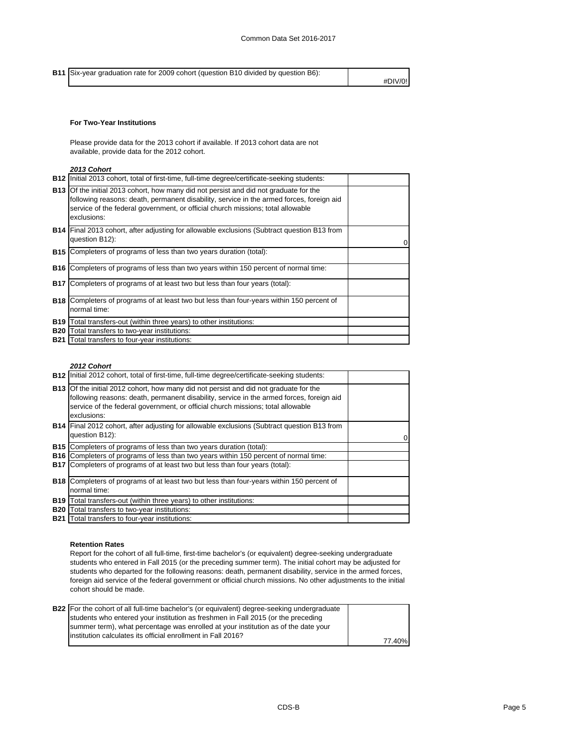**B11** Six-year graduation rate for 2009 cohort (question B10 divided by question B6): #DIV/0!

### **For Two-Year Institutions**

Please provide data for the 2013 cohort if available. If 2013 cohort data are not available, provide data for the 2012 cohort.

### *2013 Cohort*

|            | <b>B12</b> Initial 2013 cohort, total of first-time, full-time degree/certificate-seeking students:                                                                                                                                                                                        |  |
|------------|--------------------------------------------------------------------------------------------------------------------------------------------------------------------------------------------------------------------------------------------------------------------------------------------|--|
|            | <b>B13</b> Of the initial 2013 cohort, how many did not persist and did not graduate for the<br>following reasons: death, permanent disability, service in the armed forces, foreign aid<br>service of the federal government, or official church missions; total allowable<br>exclusions: |  |
|            | <b>B14</b> Final 2013 cohort, after adjusting for allowable exclusions (Subtract question B13 from<br>question B12):                                                                                                                                                                       |  |
| <b>B15</b> | Completers of programs of less than two years duration (total):                                                                                                                                                                                                                            |  |
| <b>B16</b> | Completers of programs of less than two years within 150 percent of normal time:                                                                                                                                                                                                           |  |
| <b>B17</b> | Completers of programs of at least two but less than four years (total):                                                                                                                                                                                                                   |  |
|            | <b>B18</b> Completers of programs of at least two but less than four-years within 150 percent of<br>normal time:                                                                                                                                                                           |  |
| <b>B19</b> | Total transfers-out (within three years) to other institutions:                                                                                                                                                                                                                            |  |
| <b>B20</b> | Total transfers to two-year institutions:                                                                                                                                                                                                                                                  |  |
|            | <b>B21</b> Total transfers to four-year institutions:                                                                                                                                                                                                                                      |  |

#### *2012 Cohort*

| <b>B12</b> Initial 2012 cohort, total of first-time, full-time degree/certificate-seeking students:                                                                                                                                                                                        |          |
|--------------------------------------------------------------------------------------------------------------------------------------------------------------------------------------------------------------------------------------------------------------------------------------------|----------|
| <b>B13</b> Of the initial 2012 cohort, how many did not persist and did not graduate for the<br>following reasons: death, permanent disability, service in the armed forces, foreign aid<br>service of the federal government, or official church missions; total allowable<br>exclusions: |          |
| <b>B14</b> Final 2012 cohort, after adjusting for allowable exclusions (Subtract question B13 from<br>question B12):                                                                                                                                                                       | $\Omega$ |
| <b>B15</b> Completers of programs of less than two years duration (total):                                                                                                                                                                                                                 |          |
| <b>B16</b> Completers of programs of less than two years within 150 percent of normal time:                                                                                                                                                                                                |          |
| <b>B17</b> Completers of programs of at least two but less than four years (total):                                                                                                                                                                                                        |          |
| <b>B18</b> Completers of programs of at least two but less than four-years within 150 percent of                                                                                                                                                                                           |          |
| normal time:                                                                                                                                                                                                                                                                               |          |
| <b>B19</b> Total transfers-out (within three years) to other institutions:                                                                                                                                                                                                                 |          |
| <b>B20</b> Total transfers to two-year institutions:                                                                                                                                                                                                                                       |          |
| <b>B21</b> Total transfers to four-year institutions:                                                                                                                                                                                                                                      |          |

### **Retention Rates**

Report for the cohort of all full-time, first-time bachelor's (or equivalent) degree-seeking undergraduate students who entered in Fall 2015 (or the preceding summer term). The initial cohort may be adjusted for students who departed for the following reasons: death, permanent disability, service in the armed forces, foreign aid service of the federal government or official church missions. No other adjustments to the initial cohort should be made.

| <b>B22</b> For the cohort of all full-time bachelor's (or equivalent) degree-seeking undergraduate |        |
|----------------------------------------------------------------------------------------------------|--------|
| students who entered your institution as freshmen in Fall 2015 (or the preceding                   |        |
| summer term), what percentage was enrolled at your institution as of the date your                 |        |
| linstitution calculates its official enrollment in Fall 2016?                                      |        |
|                                                                                                    | 77.40% |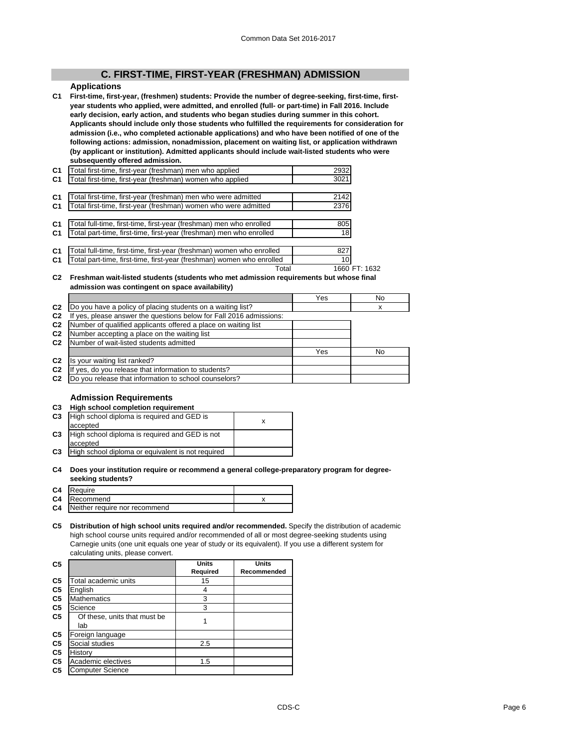### **C. FIRST-TIME, FIRST-YEAR (FRESHMAN) ADMISSION**

### **Applications**

**C1 First-time, first-year, (freshmen) students: Provide the number of degree-seeking, first-time, firstyear students who applied, were admitted, and enrolled (full- or part-time) in Fall 2016. Include early decision, early action, and students who began studies during summer in this cohort. Applicants should include only those students who fulfilled the requirements for consideration for admission (i.e., who completed actionable applications) and who have been notified of one of the following actions: admission, nonadmission, placement on waiting list, or application withdrawn (by applicant or institution). Admitted applicants should include wait-listed students who were subsequently offered admission.**

| C <sub>1</sub> | [otal first-time, first-year (freshman) men who applied               | 2932          |  |
|----------------|-----------------------------------------------------------------------|---------------|--|
| C <sub>1</sub> | Total first-time, first-year (freshman) women who applied             | 3021          |  |
|                |                                                                       |               |  |
| C <sub>1</sub> | Total first-time, first-year (freshman) men who were admitted         | 2142          |  |
| C1             | Total first-time, first-year (freshman) women who were admitted       | 2376          |  |
|                |                                                                       |               |  |
| C <sub>1</sub> | Total full-time, first-time, first-year (freshman) men who enrolled   | 805           |  |
| C <sub>1</sub> | Total part-time, first-time, first-year (freshman) men who enrolled   | 18            |  |
|                |                                                                       |               |  |
| C <sub>1</sub> | Fotal full-time, first-time, first-year (freshman) women who enrolled | 827           |  |
| C <sub>1</sub> | Total part-time, first-time, first-year (freshman) women who enrolled | 10            |  |
|                | Total                                                                 | 1660 FT: 1632 |  |

#### **C2 Freshman wait-listed students (students who met admission requirements but whose final admission was contingent on space availability)**

|                |                                                                  | Yes | No |
|----------------|------------------------------------------------------------------|-----|----|
| C <sub>2</sub> | Do you have a policy of placing students on a waiting list?      |     | x  |
| C <sub>2</sub> | yes, please answer the questions below for Fall 2016 admissions: |     |    |
| C <sub>2</sub> | Number of qualified applicants offered a place on waiting list   |     |    |
| C <sub>2</sub> | Number accepting a place on the waiting list                     |     |    |
| C <sub>2</sub> | Number of wait-listed students admitted                          |     |    |
|                |                                                                  | Yes | No |
| C <sub>2</sub> | Is your waiting list ranked?                                     |     |    |
| C <sub>2</sub> | yes, do you release that information to students?                |     |    |
| C <sub>2</sub> | Do you release that information to school counselors?            |     |    |

### **Admission Requirements**

| C <sub>3</sub> | High school completion requirement                |   |
|----------------|---------------------------------------------------|---|
| C <sub>3</sub> | High school diploma is required and GED is        | x |
|                | accepted                                          |   |
| C <sub>3</sub> | High school diploma is required and GED is not    |   |
|                | accepted                                          |   |
| C <sub>3</sub> | High school diploma or equivalent is not required |   |
|                |                                                   |   |

#### **C4 Does your institution require or recommend a general college-preparatory program for degreeseeking students?**

| C4 | Require                          |  |
|----|----------------------------------|--|
|    | C4 Recommend                     |  |
|    | C4 Neither require nor recommend |  |

#### **C5 Distribution of high school units required and/or recommended.** Specify the distribution of academic high school course units required and/or recommended of all or most degree-seeking students using Carnegie units (one unit equals one year of study or its equivalent). If you use a different system for calculating units, please convert.

| C <sub>5</sub> |                                     | <b>Units</b> | <b>Units</b> |
|----------------|-------------------------------------|--------------|--------------|
|                |                                     | Required     | Recommended  |
| C <sub>5</sub> | Total academic units                | 15           |              |
| C <sub>5</sub> | English                             | 4            |              |
| C <sub>5</sub> | <b>Mathematics</b>                  | 3            |              |
| C <sub>5</sub> | Science                             | 3            |              |
| C <sub>5</sub> | Of these, units that must be<br>lab |              |              |
| C <sub>5</sub> | Foreign language                    |              |              |
| C <sub>5</sub> | Social studies                      | 2.5          |              |
| C <sub>5</sub> | History                             |              |              |
| C <sub>5</sub> | Academic electives                  | 1.5          |              |
| C <sub>5</sub> | <b>Computer Science</b>             |              |              |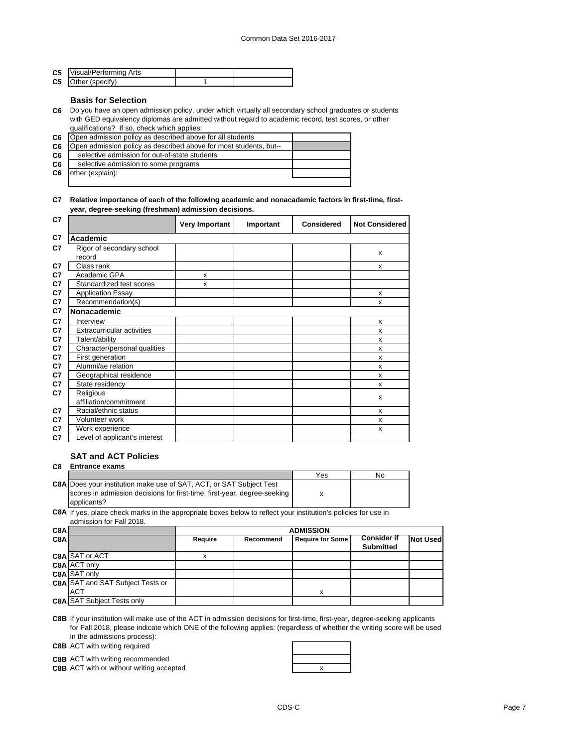| <b>C5</b> Visual/Performing Arts |  |
|----------------------------------|--|
| <b>C5</b> Other (specify)        |  |

### **Basis for Selection**

**C6** Do you have an open admission policy, under which virtually all secondary school graduates or students with GED equivalency diplomas are admitted without regard to academic record, test scores, or other qualifications? If so, check which applies:

| C <sub>6</sub> | Open admission policy as described above for all students         |  |
|----------------|-------------------------------------------------------------------|--|
| C <sub>6</sub> | Open admission policy as described above for most students, but-- |  |
| C <sub>6</sub> | selective admission for out-of-state students                     |  |
| C <sub>6</sub> | selective admission to some programs                              |  |
| C6             | other (explain):                                                  |  |
|                |                                                                   |  |

#### **C7 Relative importance of each of the following academic and nonacademic factors in first-time, firstyear, degree-seeking (freshman) admission decisions.**

| C7 |                                   | <b>Very Important</b> | Important | <b>Considered</b> | <b>Not Considered</b> |
|----|-----------------------------------|-----------------------|-----------|-------------------|-----------------------|
| C7 | Academic                          |                       |           |                   |                       |
| C7 | Rigor of secondary school         |                       |           |                   |                       |
|    | record                            |                       |           |                   | X                     |
| C7 | Class rank                        |                       |           |                   | X                     |
| C7 | Academic GPA                      | x                     |           |                   |                       |
| C7 | Standardized test scores          | x                     |           |                   |                       |
| C7 | <b>Application Essay</b>          |                       |           |                   | X                     |
| C7 | Recommendation(s)                 |                       |           |                   | x                     |
| C7 | <b>Nonacademic</b>                |                       |           |                   |                       |
| C7 | Interview                         |                       |           |                   | X                     |
| C7 | <b>Extracurricular activities</b> |                       |           |                   | X                     |
| C7 | Talent/ability                    |                       |           |                   | X                     |
| C7 | Character/personal qualities      |                       |           |                   | X                     |
| C7 | First generation                  |                       |           |                   | X                     |
| C7 | Alumni/ae relation                |                       |           |                   | X                     |
| C7 | Geographical residence            |                       |           |                   | X                     |
| C7 | State residency                   |                       |           |                   | x                     |
| C7 | Religious                         |                       |           |                   | x                     |
|    | affiliation/commitment            |                       |           |                   |                       |
| C7 | Racial/ethnic status              |                       |           |                   | x                     |
| C7 | Volunteer work                    |                       |           |                   | x                     |
| C7 | Work experience                   |                       |           |                   | x                     |
| C7 | Level of applicant's interest     |                       |           |                   |                       |

### **SAT and ACT Policies**

**C8 Entrance exams**  Yes No **C8A** Does your institution make use of SAT, ACT, or SAT Subject Test x scores in admission decisions for first-time, first-year, degree-seeking applicants?

**C8A** If yes, place check marks in the appropriate boxes below to reflect your institution's policies for use in admission for Fall 2018.

| C8A |                                         | <b>ADMISSION</b> |           |                         |                                        |                 |
|-----|-----------------------------------------|------------------|-----------|-------------------------|----------------------------------------|-----------------|
| C8A |                                         | Require          | Recommend | <b>Require for Some</b> | <b>Consider if</b><br><b>Submitted</b> | <b>Not Used</b> |
|     | <b>C8A SAT or ACT</b>                   |                  |           |                         |                                        |                 |
|     | <b>C8A ACT only</b>                     |                  |           |                         |                                        |                 |
|     | <b>C8A SAT only</b>                     |                  |           |                         |                                        |                 |
|     | <b>C8A SAT and SAT Subject Tests or</b> |                  |           |                         |                                        |                 |
|     | <b>ACT</b>                              |                  |           | x                       |                                        |                 |
|     | <b>C8A SAT Subject Tests only</b>       |                  |           |                         |                                        |                 |

**C8B** If your institution will make use of the ACT in admission decisions for first-time, first-year, degree-seeking applicants for Fall 2018, please indicate which ONE of the following applies: (regardless of whether the writing score will be used in the admissions process):

**C8B** ACT with writing required

**C8B** ACT with writing recommended

**C8B** ACT with or without writing accepted **ACT X** ACT **X** ACT **X** ACT **X** ACT **X** ACT **X** ACT **X** ACT **X** ACT **X** ACT **X** ACT **X** ACT **X** ACT **X** ACT **X** ACT **X** ACT **X** ACT **X** ACT **X** ACT **X** ACT **X** ACT **X** ACT **X** A

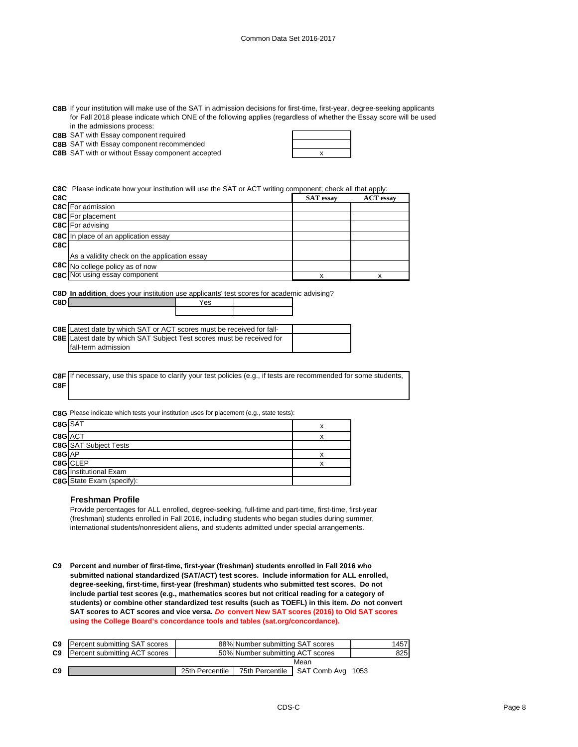| C8B If your institution will make use of the SAT in admission decisions for first-time, first-year, degree-seeking applicants |
|-------------------------------------------------------------------------------------------------------------------------------|
| for Fall 2018 please indicate which ONE of the following applies (regardless of whether the Essay score will be used          |
| in the admissions process:                                                                                                    |

|  |  | <b>C8B</b> SAT with Essay component required |  |
|--|--|----------------------------------------------|--|

**C8B** SAT with Essay component recommended

**C8D** Yes

**C8B** SAT with or without Essay component accepted **EXACT AND SET A** X

**C8C** Please indicate how your institution will use the SAT or ACT writing component; check all that apply:

| C8C |                                              | <b>SAT</b> essay | <b>ACT</b> essay |
|-----|----------------------------------------------|------------------|------------------|
|     | <b>C8C</b> For admission                     |                  |                  |
|     | <b>C8C</b> For placement                     |                  |                  |
|     | <b>C8C</b> For advising                      |                  |                  |
|     | <b>C8C</b> In place of an application essay  |                  |                  |
| C8C |                                              |                  |                  |
|     | As a validity check on the application essay |                  |                  |
|     | C8C No college policy as of now              |                  |                  |
|     | C8C Not using essay component                | x                |                  |
|     |                                              |                  |                  |

**C8D In addition**, does your institution use applicants' test scores for academic advising?

| <b>C8E</b> Latest date by which SAT or ACT scores must be received for fall- |  |
|------------------------------------------------------------------------------|--|
| C8E Latest date by which SAT Subject Test scores must be received for        |  |
| fall-term admission                                                          |  |

|     | C8F If necessary, use this space to clarify your test policies (e.g., if tests are recommended for some students, |
|-----|-------------------------------------------------------------------------------------------------------------------|
| C8F |                                                                                                                   |

**C8G** Please indicate which tests your institution uses for placement (e.g., state tests):

| C8G SAT                          |          |
|----------------------------------|----------|
| C8G ACT                          |          |
| <b>C8G</b> SAT Subject Tests     |          |
| C8G AP                           |          |
|                                  | x        |
| <b>C8G</b> Institutional Exam    |          |
| <b>C8G</b> State Exam (specify): |          |
|                                  | C8G CLEP |

#### **Freshman Profile**

Provide percentages for ALL enrolled, degree-seeking, full-time and part-time, first-time, first-year (freshman) students enrolled in Fall 2016, including students who began studies during summer, international students/nonresident aliens, and students admitted under special arrangements.

**C9 Percent and number of first-time, first-year (freshman) students enrolled in Fall 2016 who submitted national standardized (SAT/ACT) test scores. Include information for ALL enrolled, degree-seeking, first-time, first-year (freshman) students who submitted test scores. Do not include partial test scores (e.g., mathematics scores but not critical reading for a category of students) or combine other standardized test results (such as TOEFL) in this item.** *Do* **not convert SAT scores to ACT scores and vice versa.** *Do* **convert New SAT scores (2016) to Old SAT scores using the College Board's concordance tools and tables (sat.org/concordance).**

| C9 | Percent submitting SAT scores |                 | 88% Number submitting SAT scores |                   | 1457 |
|----|-------------------------------|-----------------|----------------------------------|-------------------|------|
| C9 | Percent submitting ACT scores |                 | 50% Number submitting ACT scores |                   | 825  |
|    | Mean                          |                 |                                  |                   |      |
| C9 |                               | 25th Percentile | 75th Percentile I                | SAT Comb Avg 1053 |      |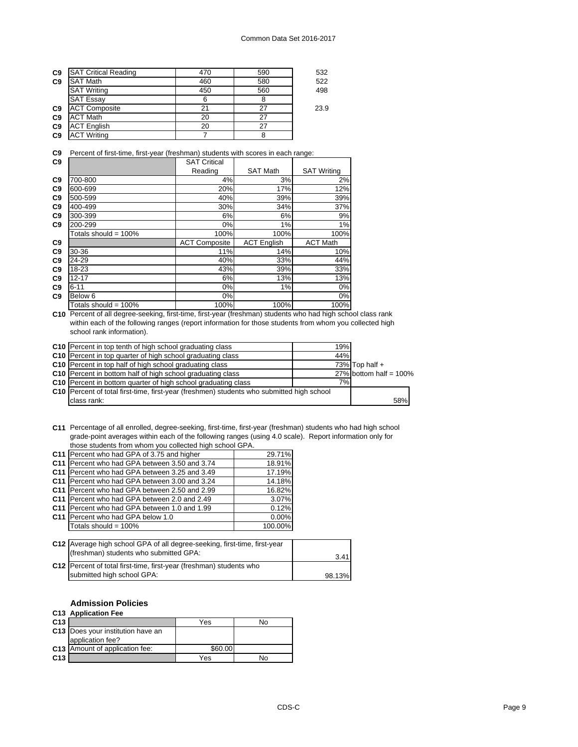| C <sub>9</sub> | <b>SAT Critical Reading</b> | 470 | 590 | 532  |
|----------------|-----------------------------|-----|-----|------|
| C <sub>9</sub> | <b>SAT Math</b>             | 460 | 580 | 522  |
|                | <b>SAT Writing</b>          | 450 | 560 | 498  |
|                | <b>SAT Essay</b>            |     |     |      |
| C <sub>9</sub> | <b>ACT Composite</b>        |     |     | 23.9 |
| C <sub>9</sub> | <b>ACT Math</b>             | 20  |     |      |
| C <sub>9</sub> | <b>ACT English</b>          | 20  | 27  |      |
| C <sub>9</sub> | <b>ACT Writing</b>          |     |     |      |

**C9** Percent of first-time, first-year (freshman) students with scores in each range:

| C <sub>9</sub> |                         | <b>SAT Critical</b>  |                    |                    |
|----------------|-------------------------|----------------------|--------------------|--------------------|
|                |                         | Reading              | <b>SAT Math</b>    | <b>SAT Writing</b> |
| C <sub>9</sub> | 700-800                 | 4%                   | 3%                 | 2%                 |
| C <sub>9</sub> | 600-699                 | 20%                  | 17%                | 12%                |
| C <sub>9</sub> | 500-599                 | 40%                  | 39%                | 39%                |
| C <sub>9</sub> | 400-499                 | 30%                  | 34%                | 37%                |
| C <sub>9</sub> | 300-399                 | 6%                   | 6%                 | 9%                 |
| C <sub>9</sub> | 200-299                 | 0%                   | 1%                 | 1%                 |
|                | Totals should = 100%    | 100%                 | 100%               | 100%               |
| C <sub>9</sub> |                         | <b>ACT Composite</b> | <b>ACT English</b> | <b>ACT Math</b>    |
| C <sub>9</sub> | 30-36                   | 11%                  | 14%                | 10%                |
| C <sub>9</sub> | 24-29                   | 40%                  | 33%                | 44%                |
| C <sub>9</sub> | 18-23                   | 43%                  | 39%                | 33%                |
| C <sub>9</sub> | $12 - 17$               | 6%                   | 13%                | 13%                |
| C <sub>9</sub> | $6 - 11$                | $0\%$                | 1%                 | $0\%$              |
| C <sub>9</sub> | Below 6                 | $0\%$                |                    | 0%                 |
|                | Totals should = $100\%$ | 100%                 | 100%               | 100%               |

**C10** Percent of all degree-seeking, first-time, first-year (freshman) students who had high school class rank within each of the following ranges (report information for those students from whom you collected high school rank information).

| <b>C10</b> Percent in top tenth of high school graduating class                             | 19% |                           |     |
|---------------------------------------------------------------------------------------------|-----|---------------------------|-----|
| C10 Percent in top quarter of high school graduating class                                  | 44% |                           |     |
| <b>C10</b> Percent in top half of high school graduating class                              |     | 73% $Top half +$          |     |
| C10 Percent in bottom half of high school graduating class                                  |     | 27% bottom half = $100\%$ |     |
| <b>C10</b> Percent in bottom quarter of high school graduating class                        | 7%  |                           |     |
| C10   Percent of total first-time, first-year (freshmen) students who submitted high school |     |                           |     |
| class rank:                                                                                 |     |                           | 58% |

**C11** Percentage of all enrolled, degree-seeking, first-time, first-year (freshman) students who had high school grade-point averages within each of the following ranges (using 4.0 scale). Report information only for those students from whom you collected high school GPA.

|                 | C11 Percent who had GPA of 3.75 and higher    | 29.71%  |
|-----------------|-----------------------------------------------|---------|
| C <sub>11</sub> | Percent who had GPA between 3.50 and 3.74     | 18.91%  |
| C <sub>11</sub> | Percent who had GPA between 3.25 and 3.49     | 17.19%  |
|                 | C11 Percent who had GPA between 3.00 and 3.24 | 14.18%  |
| C <sub>11</sub> | Percent who had GPA between 2.50 and 2.99     | 16.82%  |
|                 | C11 Percent who had GPA between 2.0 and 2.49  | 3.07%   |
| C <sub>11</sub> | Percent who had GPA between 1.0 and 1.99      | 0.12%   |
|                 | C11 Percent who had GPA below 1.0             | 0.00%   |
|                 | Totals should = 100%                          | 100.00% |
|                 |                                               |         |

| C12 Average high school GPA of all degree-seeking, first-time, first-year |        |
|---------------------------------------------------------------------------|--------|
| (freshman) students who submitted GPA:                                    | 3.41   |
| C12 Percent of total first-time, first-year (freshman) students who       |        |
| submitted high school GPA:                                                | 98.13% |

### **Admission Policies**

### **C13 Application Fee**

| C <sub>13</sub> |                                       | Yes     | No |
|-----------------|---------------------------------------|---------|----|
|                 | C13   Does your institution have an   |         |    |
|                 | application fee?                      |         |    |
|                 | <b>C13</b> Amount of application fee: | \$60.00 |    |
| C <sub>13</sub> |                                       | Yes     | No |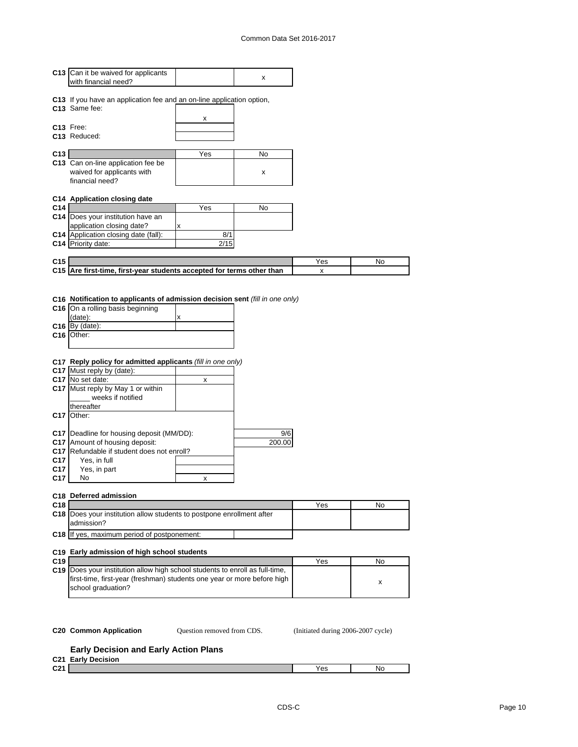|                               | C13 Can it be waived for applicants<br>with financial need?                                                                                                                                                                                                                                                                                                                                                                                                                                                                                        |        | x             |     |    |
|-------------------------------|----------------------------------------------------------------------------------------------------------------------------------------------------------------------------------------------------------------------------------------------------------------------------------------------------------------------------------------------------------------------------------------------------------------------------------------------------------------------------------------------------------------------------------------------------|--------|---------------|-----|----|
|                               | C13 If you have an application fee and an on-line application option,<br>C13 Same fee:                                                                                                                                                                                                                                                                                                                                                                                                                                                             |        |               |     |    |
|                               | C <sub>13</sub> Free:<br>C13 Reduced:                                                                                                                                                                                                                                                                                                                                                                                                                                                                                                              | x      |               |     |    |
| C13                           |                                                                                                                                                                                                                                                                                                                                                                                                                                                                                                                                                    | Yes    | No            |     |    |
|                               | C13 Can on-line application fee be<br>waived for applicants with<br>financial need?                                                                                                                                                                                                                                                                                                                                                                                                                                                                |        | x             |     |    |
|                               | C14 Application closing date                                                                                                                                                                                                                                                                                                                                                                                                                                                                                                                       |        |               |     |    |
| C14                           |                                                                                                                                                                                                                                                                                                                                                                                                                                                                                                                                                    | Yes    | No            |     |    |
|                               | C14 Does your institution have an<br>application closing date?                                                                                                                                                                                                                                                                                                                                                                                                                                                                                     | x      |               |     |    |
|                               | C14 Application closing date (fall):                                                                                                                                                                                                                                                                                                                                                                                                                                                                                                               | 8/1    |               |     |    |
|                               | C14 Priority date:                                                                                                                                                                                                                                                                                                                                                                                                                                                                                                                                 | 2/15   |               |     |    |
| C <sub>15</sub>               |                                                                                                                                                                                                                                                                                                                                                                                                                                                                                                                                                    |        |               | Yes | No |
|                               | C15 Are first-time, first-year students accepted for terms other than                                                                                                                                                                                                                                                                                                                                                                                                                                                                              |        |               | x   |    |
|                               |                                                                                                                                                                                                                                                                                                                                                                                                                                                                                                                                                    |        |               |     |    |
| C <sub>17</sub><br>C17<br>C17 | C16 Notification to applicants of admission decision sent (fill in one only)<br>C16 On a rolling basis beginning<br>(data):<br>$C16$ By (date):<br>C <sub>16</sub> Other:<br>C17 Reply policy for admitted applicants (fill in one only)<br>C17 Must reply by (date):<br>C17 No set date:<br>C17 Must reply by May 1 or within<br>weeks if notified<br>thereafter<br>C17 Other:<br>C17 Deadline for housing deposit (MM/DD):<br>C17 Amount of housing deposit:<br>C17 Refundable if student does not enroll?<br>Yes, in full<br>Yes, in part<br>No | х<br>x | 9/6<br>200.00 |     |    |
| C <sub>18</sub>               | C18 Deferred admission                                                                                                                                                                                                                                                                                                                                                                                                                                                                                                                             |        |               | Yes | No |
|                               | C18 Does your institution allow students to postpone enrollment after<br>admission?                                                                                                                                                                                                                                                                                                                                                                                                                                                                |        |               |     |    |
| C <sub>18</sub>               | If yes, maximum period of postponement:                                                                                                                                                                                                                                                                                                                                                                                                                                                                                                            |        |               |     |    |
| C <sub>19</sub>               | C19 Early admission of high school students                                                                                                                                                                                                                                                                                                                                                                                                                                                                                                        |        |               | Yes | No |
|                               | C19 Does your institution allow high school students to enroll as full-time,                                                                                                                                                                                                                                                                                                                                                                                                                                                                       |        |               |     |    |
|                               | first-time, first-year (freshman) students one year or more before high<br>school graduation?                                                                                                                                                                                                                                                                                                                                                                                                                                                      |        |               |     | x  |
|                               |                                                                                                                                                                                                                                                                                                                                                                                                                                                                                                                                                    |        |               |     |    |

Question removed from CDS.

#### **Early Decision and Early Action Plans**

| C <sub>21</sub> | $ariv$<br><b>Decision</b><br>--- |     |    |
|-----------------|----------------------------------|-----|----|
| C <sub>21</sub> |                                  | Yes | No |
|                 |                                  |     |    |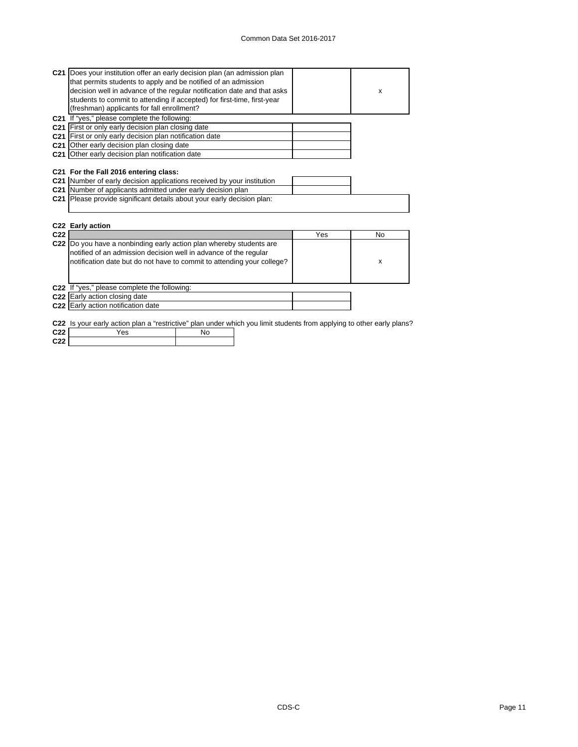| C21 Does your institution offer an early decision plan (an admission plan                                             |     |    |
|-----------------------------------------------------------------------------------------------------------------------|-----|----|
| that permits students to apply and be notified of an admission                                                        |     |    |
| decision well in advance of the regular notification date and that asks                                               |     | X  |
| students to commit to attending if accepted) for first-time, first-year                                               |     |    |
| (freshman) applicants for fall enrollment?                                                                            |     |    |
| C21 If "yes," please complete the following:                                                                          |     |    |
| C21 First or only early decision plan closing date                                                                    |     |    |
| C21 First or only early decision plan notification date                                                               |     |    |
| <b>C21</b> Other early decision plan closing date                                                                     |     |    |
| C21 Other early decision plan notification date                                                                       |     |    |
|                                                                                                                       |     |    |
| C21 For the Fall 2016 entering class:                                                                                 |     |    |
|                                                                                                                       |     |    |
| C21 Number of early decision applications received by your institution                                                |     |    |
| C21 Number of applicants admitted under early decision plan                                                           |     |    |
| C21 Please provide significant details about your early decision plan:                                                |     |    |
|                                                                                                                       |     |    |
|                                                                                                                       |     |    |
| C22 Early action                                                                                                      |     |    |
| C <sub>22</sub>                                                                                                       | Yes | No |
| C22  Do you have a nonbinding early action plan whereby students are                                                  |     |    |
| notified of an admission decision well in advance of the regular                                                      |     |    |
| notification date but do not have to commit to attending your college?                                                |     | x  |
|                                                                                                                       |     |    |
|                                                                                                                       |     |    |
| C22 If "yes," please complete the following:                                                                          |     |    |
| C22 Early action closing date                                                                                         |     |    |
| C22 Early action notification date                                                                                    |     |    |
|                                                                                                                       |     |    |
| C22 Is your early action plan a "restrictive" plan under which you limit students from applying to other early plans? |     |    |
| C <sub>22</sub><br>Yes<br>No                                                                                          |     |    |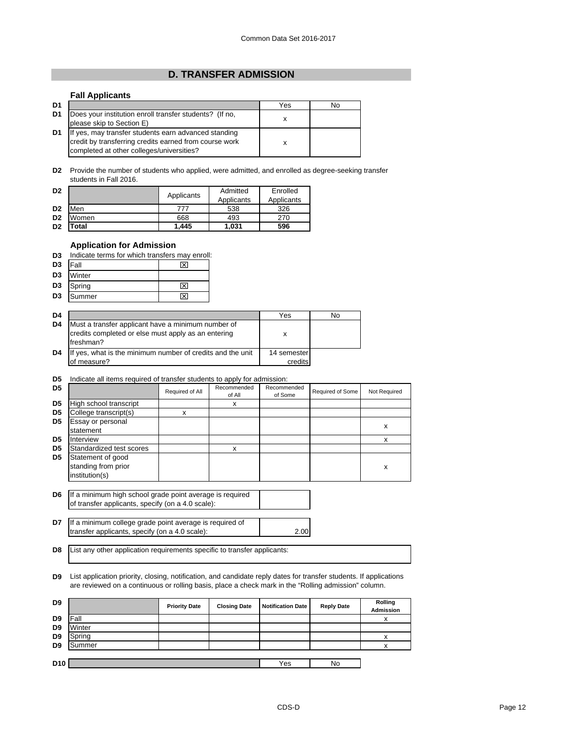### **D. TRANSFER ADMISSION**

### **Fall Applicants**

| D1             |                                                                                                                                                             | Yes | No |
|----------------|-------------------------------------------------------------------------------------------------------------------------------------------------------------|-----|----|
| D <sub>1</sub> | Does your institution enroll transfer students? (If no,<br>please skip to Section E)                                                                        | х   |    |
| D1             | If yes, may transfer students earn advanced standing<br>credit by transferring credits earned from course work<br>completed at other colleges/universities? |     |    |

**D2** Provide the number of students who applied, were admitted, and enrolled as degree-seeking transfer students in Fall 2016.

| D <sub>2</sub> |       | Applicants | Admitted<br>Applicants | Enrolled<br>Applicants |
|----------------|-------|------------|------------------------|------------------------|
| D <sub>2</sub> | Men   | 777        | 538                    | 326                    |
| D <sub>2</sub> | Women | 668        | 493                    | 270                    |
| D <sub>2</sub> | otal  | 1.445      | 1.031                  | 596                    |

### **Application for Admission**

|  |  | <b>D3</b> Indicate terms for which transfers may enroll: |  |
|--|--|----------------------------------------------------------|--|
|  |  |                                                          |  |

| D <sub>3</sub> | Fall   | ⊠ |
|----------------|--------|---|
| D <sub>3</sub> | Winter |   |
| D <sub>3</sub> | Spring | ⊠ |
| D <sub>3</sub> | Summer | ⊠ |

| D <sub>4</sub> |                                                                                                                         | Yes                    | No |
|----------------|-------------------------------------------------------------------------------------------------------------------------|------------------------|----|
| D <sub>4</sub> | Must a transfer applicant have a minimum number of<br>credits completed or else must apply as an entering<br>Ifreshman? |                        |    |
| D <sub>4</sub> | If yes, what is the minimum number of credits and the unit<br>of measure?                                               | 14 semester<br>credits |    |

### **D5** Indicate all items required of transfer students to apply for admission:

| D <sub>5</sub> |                                                            | Required of All | Recommended<br>of All | Recommended<br>of Some | Required of Some | Not Required |
|----------------|------------------------------------------------------------|-----------------|-----------------------|------------------------|------------------|--------------|
| D <sub>5</sub> | High school transcript                                     |                 | х                     |                        |                  |              |
| D <sub>5</sub> | College transcript(s)                                      | x               |                       |                        |                  |              |
| D <sub>5</sub> | Essay or personal<br>statement                             |                 |                       |                        |                  | x            |
| D <sub>5</sub> | Interview                                                  |                 |                       |                        |                  | x            |
| D <sub>5</sub> | Standardized test scores                                   |                 | x                     |                        |                  |              |
| D5             | Statement of good<br>standing from prior<br>institution(s) |                 |                       |                        |                  | x            |
|                |                                                            |                 |                       |                        |                  |              |

**D6** If a minimum high school grade point average is required of transfer applicants, specify (on a 4.0 scale):

**D7** 2.00 If a minimum college grade point average is required of transfer applicants, specify (on a 4.0 scale):

**D8** List any other application requirements specific to transfer applicants:

**D9** List application priority, closing, notification, and candidate reply dates for transfer students. If applications are reviewed on a continuous or rolling basis, place a check mark in the "Rolling admission" column.

| D <sub>9</sub>  |        | <b>Priority Date</b> | <b>Closing Date</b> | <b>Notification Date</b> | <b>Reply Date</b> | Rolling<br><b>Admission</b> |
|-----------------|--------|----------------------|---------------------|--------------------------|-------------------|-----------------------------|
| D <sub>9</sub>  | Fall   |                      |                     |                          |                   | $\checkmark$<br>⋏           |
| D <sub>9</sub>  | Winter |                      |                     |                          |                   |                             |
| D <sub>9</sub>  | Spring |                      |                     |                          |                   | $\checkmark$                |
| D <sub>9</sub>  | Summer |                      |                     |                          |                   | v                           |
|                 |        |                      |                     |                          |                   |                             |
| D <sub>10</sub> |        |                      |                     | Yes                      | No                |                             |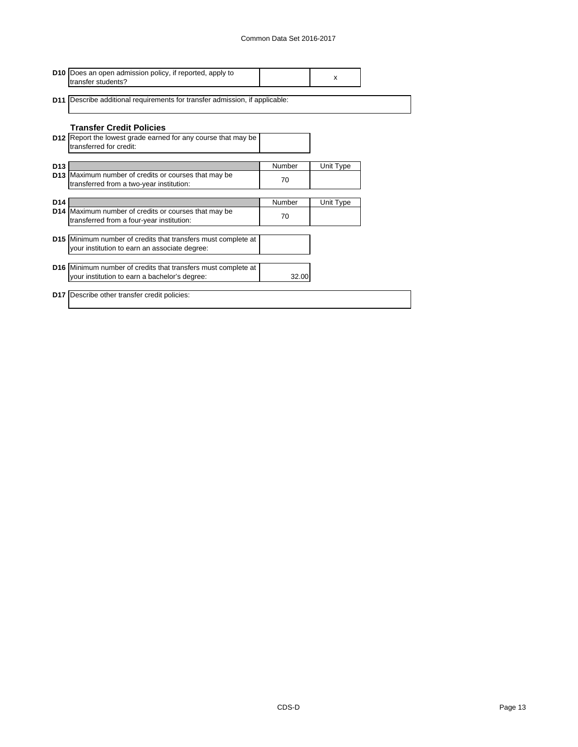|                 | <b>D10</b> Does an open admission policy, if reported, apply to<br>transfer students?                          |        | x         |  |
|-----------------|----------------------------------------------------------------------------------------------------------------|--------|-----------|--|
|                 | <b>D11</b> Describe additional requirements for transfer admission, if applicable:                             |        |           |  |
|                 | <b>Transfer Credit Policies</b>                                                                                |        |           |  |
|                 | <b>D12</b> Report the lowest grade earned for any course that may be<br>transferred for credit:                |        |           |  |
| D <sub>13</sub> |                                                                                                                | Number | Unit Type |  |
|                 | D13 Maximum number of credits or courses that may be<br>transferred from a two-year institution:               | 70     |           |  |
|                 |                                                                                                                |        |           |  |
| D <sub>14</sub> |                                                                                                                | Number | Unit Type |  |
|                 | D14 Maximum number of credits or courses that may be<br>transferred from a four-year institution:              | 70     |           |  |
|                 |                                                                                                                |        |           |  |
|                 | D15 Minimum number of credits that transfers must complete at<br>your institution to earn an associate degree: |        |           |  |
|                 |                                                                                                                |        |           |  |
|                 | D16 Minimum number of credits that transfers must complete at                                                  |        |           |  |
|                 | your institution to earn a bachelor's degree:                                                                  | 32.00  |           |  |
|                 | <b>D17</b> Describe other transfer credit policies:                                                            |        |           |  |
|                 |                                                                                                                |        |           |  |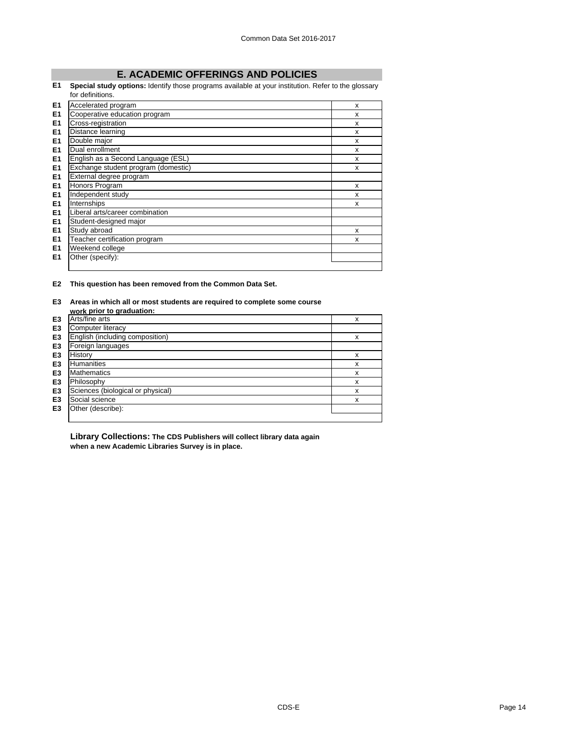# **E. ACADEMIC OFFERINGS AND POLICIES**

#### **E1 Special study options:** Identify those programs available at your institution. Refer to the glossary  $\overline{d}$ definitions.

|                | tor definitions.                    |   |
|----------------|-------------------------------------|---|
| E1             | Accelerated program                 | X |
| E <sub>1</sub> | Cooperative education program       | x |
| E <sub>1</sub> | Cross-registration                  | X |
| E <sub>1</sub> | Distance learning                   | X |
| E <sub>1</sub> | Double major                        | X |
| E <sub>1</sub> | Dual enrollment                     | X |
| E <sub>1</sub> | English as a Second Language (ESL)  | X |
| E <sub>1</sub> | Exchange student program (domestic) | x |
| E <sub>1</sub> | External degree program             |   |
| E <sub>1</sub> | Honors Program                      | x |
| E <sub>1</sub> | Independent study                   | x |
| E <sub>1</sub> | Internships                         | X |
| E <sub>1</sub> | Liberal arts/career combination     |   |
| E <sub>1</sub> | Student-designed major              |   |
| E <sub>1</sub> | Study abroad                        | X |
| E <sub>1</sub> | Teacher certification program       | x |
| E <sub>1</sub> | Weekend college                     |   |
| E <sub>1</sub> | Other (specify):                    |   |
|                |                                     |   |

**E2 This question has been removed from the Common Data Set.**

### **E3 Areas in which all or most students are required to complete some course**

|                | work prior to graduation:         |   |
|----------------|-----------------------------------|---|
| E3             | Arts/fine arts                    | X |
| E <sub>3</sub> | Computer literacy                 |   |
| E <sub>3</sub> | English (including composition)   | x |
| E <sub>3</sub> | Foreign languages                 |   |
| E <sub>3</sub> | History                           | x |
| E <sub>3</sub> | <b>Humanities</b>                 | x |
| E <sub>3</sub> | <b>Mathematics</b>                | x |
| E <sub>3</sub> | Philosophy                        | x |
| E <sub>3</sub> | Sciences (biological or physical) | x |
| E <sub>3</sub> | Social science                    | x |
| E <sub>3</sub> | Other (describe):                 |   |
|                |                                   |   |

**Library Collections: The CDS Publishers will collect library data again when a new Academic Libraries Survey is in place.**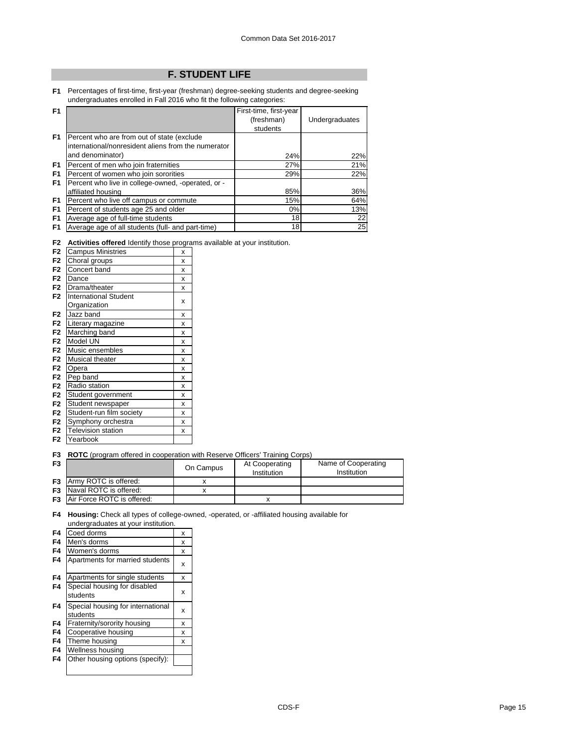# **F. STUDENT LIFE**

**F1** Percentages of first-time, first-year (freshman) degree-seeking students and degree-seeking undergraduates enrolled in Fall 2016 who fit the following categories:

| F <sub>1</sub> |                                                      | First-time, first-year |                |
|----------------|------------------------------------------------------|------------------------|----------------|
|                |                                                      | (freshman)             | Undergraduates |
|                |                                                      | students               |                |
| F <sub>1</sub> | Percent who are from out of state (exclude)          |                        |                |
|                | linternational/nonresident aliens from the numerator |                        |                |
|                | and denominator)                                     | 24%                    | 22%            |
| F <sub>1</sub> | Percent of men who join fraternities                 | 27%                    | 21%            |
| F <sub>1</sub> | Percent of women who join sororities                 | 29%                    | 22%            |
| F <sub>1</sub> | Percent who live in college-owned, -operated, or -   |                        |                |
|                | affiliated housing                                   | 85%                    | 36%            |
| F <sub>1</sub> | Percent who live off campus or commute               | 15%                    | 64%            |
| F <sub>1</sub> | Percent of students age 25 and older                 | $0\%$                  | 13%            |
| F <sub>1</sub> | Average age of full-time students                    | 18                     | 22             |
| F <sub>1</sub> | Average age of all students (full- and part-time)    | 18                     | 25             |

**F2 Activities offered** Identify those programs available at your institution.

|                | <b>Unvinced Unclea</b> Tachtiny those progra |   |
|----------------|----------------------------------------------|---|
| F <sub>2</sub> | <b>Campus Ministries</b>                     | x |
| F <sub>2</sub> | Choral groups                                | X |
| F <sub>2</sub> | Concert band                                 | x |
| F <sub>2</sub> | Dance                                        | X |
| F <sub>2</sub> | Drama/theater                                | X |
| F <sub>2</sub> | <b>International Student</b>                 |   |
|                | Organization                                 | x |
| F <sub>2</sub> | Jazz band                                    | X |
| F <sub>2</sub> | Literary magazine                            | X |
| F <sub>2</sub> | Marching band                                | X |
| F <sub>2</sub> | Model UN                                     | X |
| F <sub>2</sub> | Music ensembles                              | X |
| F <sub>2</sub> | <b>Musical theater</b>                       | X |
| F <sub>2</sub> | Opera                                        | X |
| F <sub>2</sub> | Pep band                                     | X |
| F <sub>2</sub> | Radio station                                | X |
| F <sub>2</sub> | Student government                           | x |
| F <sub>2</sub> | Student newspaper                            | X |
| F <sub>2</sub> | Student-run film society                     | X |
| F <sub>2</sub> | Symphony orchestra                           | X |
| F <sub>2</sub> | <b>Television station</b>                    | x |
| F <sub>2</sub> | Yearbook                                     |   |

**F3 ROTC** (program offered in cooperation with Reserve Officers' Training Corps)

| F <sub>3</sub> |                                      | On Campus | At Cooperating<br>Institution | Name of Cooperating<br>Institution |
|----------------|--------------------------------------|-----------|-------------------------------|------------------------------------|
|                | <b>F3</b> Army ROTC is offered:      |           |                               |                                    |
|                | <b>F3</b> Naval ROTC is offered:     |           |                               |                                    |
|                | <b>F3</b> Air Force ROTC is offered: |           |                               |                                    |

### **F4 Housing:** Check all types of college-owned, -operated, or -affiliated housing available for undergraduates at your institution.

| F4 | Coed dorms                                    | x |
|----|-----------------------------------------------|---|
| F4 | Men's dorms                                   | x |
| F4 | Women's dorms                                 | x |
| F4 | Apartments for married students               | X |
| F4 | Apartments for single students                | x |
| F4 | Special housing for disabled<br>students      | X |
| F4 | Special housing for international<br>students | X |
| F4 | Fraternity/sorority housing                   | x |
| F4 | Cooperative housing                           | x |
| F4 | Theme housing                                 | x |
| F4 | Wellness housing                              |   |
| F4 | Other housing options (specify):              |   |
|    |                                               |   |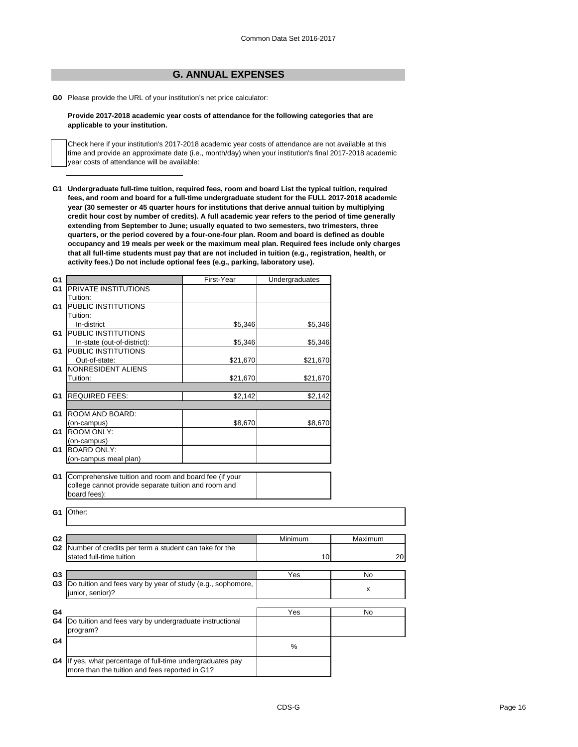## **G. ANNUAL EXPENSES**

**G0** Please provide the URL of your institution's net price calculator:

### **Provide 2017-2018 academic year costs of attendance for the following categories that are applicable to your institution.**

Check here if your institution's 2017-2018 academic year costs of attendance are not available at this time and provide an approximate date (i.e., month/day) when your institution's final 2017-2018 academic year costs of attendance will be available:

**G1 Undergraduate full-time tuition, required fees, room and board List the typical tuition, required fees, and room and board for a full-time undergraduate student for the FULL 2017-2018 academic year (30 semester or 45 quarter hours for institutions that derive annual tuition by multiplying credit hour cost by number of credits). A full academic year refers to the period of time generally extending from September to June; usually equated to two semesters, two trimesters, three quarters, or the period covered by a four-one-four plan. Room and board is defined as double occupancy and 19 meals per week or the maximum meal plan. Required fees include only charges that all full-time students must pay that are not included in tuition (e.g., registration, health, or activity fees.) Do not include optional fees (e.g., parking, laboratory use).**

| G <sub>1</sub> |                                                             | First-Year | Undergraduates |         |
|----------------|-------------------------------------------------------------|------------|----------------|---------|
| G1             | <b>PRIVATE INSTITUTIONS</b>                                 |            |                |         |
|                | Tuition:                                                    |            |                |         |
| G1             | PUBLIC INSTITUTIONS                                         |            |                |         |
|                | Tuition:                                                    |            |                |         |
|                | In-district                                                 | \$5,346    | \$5,346        |         |
| G1             | PUBLIC INSTITUTIONS                                         |            |                |         |
|                | In-state (out-of-district):                                 | \$5,346    | \$5,346        |         |
| G1             | PUBLIC INSTITUTIONS                                         |            |                |         |
|                | Out-of-state:                                               | \$21,670   | \$21,670       |         |
| G1             | <b>NONRESIDENT ALIENS</b>                                   |            |                |         |
|                | Tuition:                                                    | \$21,670   | \$21,670       |         |
|                |                                                             |            |                |         |
| G1             | <b>REQUIRED FEES:</b>                                       | \$2,142    | \$2,142        |         |
|                |                                                             |            |                |         |
| G1             | ROOM AND BOARD:                                             |            |                |         |
|                | (on-campus)                                                 | \$8,670    | \$8,670        |         |
| G1             | <b>ROOM ONLY:</b>                                           |            |                |         |
|                | (on-campus)                                                 |            |                |         |
| G1             | <b>BOARD ONLY:</b>                                          |            |                |         |
|                | (on-campus meal plan)                                       |            |                |         |
|                |                                                             |            |                |         |
| G1             | Comprehensive tuition and room and board fee (if your       |            |                |         |
|                | college cannot provide separate tuition and room and        |            |                |         |
|                | board fees):                                                |            |                |         |
|                |                                                             |            |                |         |
| G <sub>1</sub> | Other:                                                      |            |                |         |
|                |                                                             |            |                |         |
|                |                                                             |            |                |         |
| G <sub>2</sub> |                                                             |            | Minimum        | Maximum |
|                | G2 Number of credits per term a student can take for the    |            |                |         |
|                | stated full-time tuition                                    |            | 10             | 20      |
|                |                                                             |            |                |         |
| G <sub>3</sub> |                                                             |            | Yes            | No      |
| G <sub>3</sub> | Do tuition and fees vary by year of study (e.g., sophomore, |            |                |         |
|                | junior, senior)?                                            |            |                | X       |
|                |                                                             |            |                |         |
| G4             |                                                             |            | Yes            | No      |
| G4             | Do tuition and fees vary by undergraduate instructional     |            |                |         |
|                | program?                                                    |            |                |         |
| G4             |                                                             |            |                |         |
|                |                                                             |            | %              |         |
|                |                                                             |            |                |         |
| G4             | If yes, what percentage of full-time undergraduates pay     |            |                |         |
|                | more than the tuition and fees reported in G1?              |            |                |         |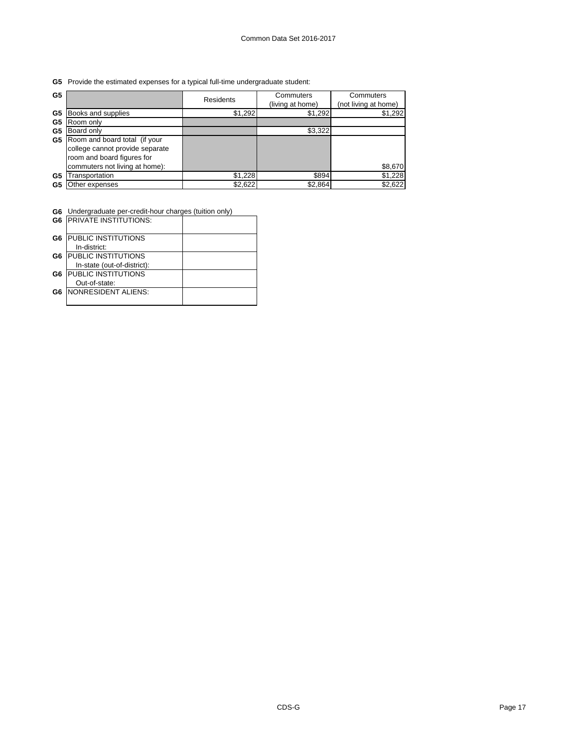**G5** Provide the estimated expenses for a typical full-time undergraduate student:

| G5 |                                 | <b>Residents</b> | Commuters        | Commuters            |
|----|---------------------------------|------------------|------------------|----------------------|
|    |                                 |                  | (living at home) | (not living at home) |
| G5 | Books and supplies              | \$1,292          | \$1,292          | \$1,292              |
| G5 | Room only                       |                  |                  |                      |
| G5 | Board only                      |                  | \$3,322          |                      |
| G5 | Room and board total (if your   |                  |                  |                      |
|    | college cannot provide separate |                  |                  |                      |
|    | room and board figures for      |                  |                  |                      |
|    | commuters not living at home):  |                  |                  | \$8,670              |
| G5 | ransportation                   | \$1,228          | \$894            | \$1,228              |
| G5 | Other expenses                  | \$2,622          | \$2,864          | \$2,622              |

**G6** Undergraduate per-credit-hour charges (tuition only)

| G <sub>6</sub> | <b>IPRIVATE INSTITUTIONS:</b> |  |
|----------------|-------------------------------|--|
| G6             | <b>IPUBLIC INSTITUTIONS</b>   |  |
|                | In-district:                  |  |
| G6             | <b>PUBLIC INSTITUTIONS</b>    |  |
|                | In-state (out-of-district):   |  |
| G6             | <b>PUBLIC INSTITUTIONS</b>    |  |
|                | Out-of-state:                 |  |
| G6             | <b>NONRESIDENT ALIENS:</b>    |  |
|                |                               |  |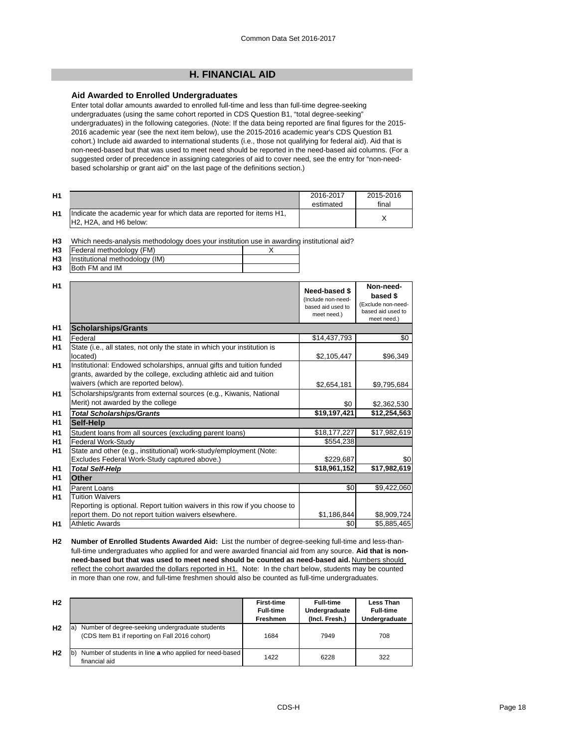## **H. FINANCIAL AID**

### **Aid Awarded to Enrolled Undergraduates**

Enter total dollar amounts awarded to enrolled full-time and less than full-time degree-seeking undergraduates (using the same cohort reported in CDS Question B1, "total degree-seeking" undergraduates) in the following categories. (Note: If the data being reported are final figures for the 2015- 2016 academic year (see the next item below), use the 2015-2016 academic year's CDS Question B1 cohort.) Include aid awarded to international students (i.e., those not qualifying for federal aid). Aid that is non-need-based but that was used to meet need should be reported in the need-based aid columns. (For a suggested order of precedence in assigning categories of aid to cover need, see the entry for "non-needbased scholarship or grant aid" on the last page of the definitions section.)

| H <sub>1</sub> |                                                                                                                                      | 2016-2017<br>estimated | 2015-2016<br>final |
|----------------|--------------------------------------------------------------------------------------------------------------------------------------|------------------------|--------------------|
| H <sub>1</sub> | Indicate the academic year for which data are reported for items H1,<br>H <sub>2</sub> . H <sub>2</sub> A, and H <sub>6</sub> below: |                        |                    |

**H3** Which needs-analysis methodology does your institution use in awarding institutional aid?

|     | <b>H3</b>   Federal methodology (FM)     |  |
|-----|------------------------------------------|--|
|     | <b>H3</b> Institutional methodology (IM) |  |
| --- |                                          |  |

**H3** Both FM and IM

| H1             |                                                                                                                                                                                   | Need-based \$<br>(Include non-need-<br>based aid used to<br>meet need.) | Non-need-<br>based \$<br>(Exclude non-need-<br>based aid used to<br>meet need.) |
|----------------|-----------------------------------------------------------------------------------------------------------------------------------------------------------------------------------|-------------------------------------------------------------------------|---------------------------------------------------------------------------------|
| H1             | <b>Scholarships/Grants</b>                                                                                                                                                        |                                                                         |                                                                                 |
| H <sub>1</sub> | Federal                                                                                                                                                                           | \$14,437,793                                                            | \$0                                                                             |
| H1             | State (i.e., all states, not only the state in which your institution is<br>located)                                                                                              | \$2,105,447                                                             | \$96,349                                                                        |
| H1             | Institutional: Endowed scholarships, annual gifts and tuition funded<br>grants, awarded by the college, excluding athletic aid and tuition<br>waivers (which are reported below). | \$2,654,181                                                             | \$9,795,684                                                                     |
| H <sub>1</sub> | Scholarships/grants from external sources (e.g., Kiwanis, National<br>Merit) not awarded by the college                                                                           | \$0                                                                     | \$2,362,530                                                                     |
| H <sub>1</sub> | <b>Total Scholarships/Grants</b>                                                                                                                                                  | \$19,197,421                                                            | \$12,254,563                                                                    |
| H1             | Self-Help                                                                                                                                                                         |                                                                         |                                                                                 |
| H1             | Student loans from all sources (excluding parent loans)                                                                                                                           | \$18,177,227                                                            | \$17,982,619                                                                    |
| H1             | <b>Federal Work-Study</b>                                                                                                                                                         | \$554,238                                                               |                                                                                 |
| H1             | State and other (e.g., institutional) work-study/employment (Note:                                                                                                                |                                                                         |                                                                                 |
|                | Excludes Federal Work-Study captured above.)                                                                                                                                      | \$229,687                                                               | \$0                                                                             |
| H1             | <b>Total Self-Help</b>                                                                                                                                                            | \$18,961,152                                                            | \$17,982,619                                                                    |
| H <sub>1</sub> | Other                                                                                                                                                                             |                                                                         |                                                                                 |
| H1             | Parent Loans                                                                                                                                                                      | \$0                                                                     | \$9,422,060                                                                     |
| H1             | <b>Tuition Waivers</b>                                                                                                                                                            |                                                                         |                                                                                 |
|                | Reporting is optional. Report tuition waivers in this row if you choose to                                                                                                        |                                                                         |                                                                                 |
|                | report them. Do not report tuition waivers elsewhere.                                                                                                                             | \$1,186,844                                                             | \$8,909,724                                                                     |
| H1             | <b>Athletic Awards</b>                                                                                                                                                            | \$0                                                                     | \$5,885,465                                                                     |

**H2 Number of Enrolled Students Awarded Aid:** List the number of degree-seeking full-time and less-thanfull-time undergraduates who applied for and were awarded financial aid from any source. **Aid that is nonneed-based but that was used to meet need should be counted as need-based aid.** Numbers should reflect the cohort awarded the dollars reported in H1. Note: In the chart below, students may be counted in more than one row, and full-time freshmen should also be counted as full-time undergraduates.

| H <sub>2</sub> |                                                                                                         | <b>First-time</b><br><b>Full-time</b><br><b>Freshmen</b> | <b>Full-time</b><br>Undergraduate<br>(Incl. Fresh.) | Less Than<br><b>Full-time</b><br>Undergraduate |
|----------------|---------------------------------------------------------------------------------------------------------|----------------------------------------------------------|-----------------------------------------------------|------------------------------------------------|
| H <sub>2</sub> | Number of degree-seeking undergraduate students<br>la<br>(CDS Item B1 if reporting on Fall 2016 cohort) | 1684                                                     | 7949                                                | 708                                            |
| H <sub>2</sub> | Number of students in line a who applied for need-based<br>Ib.<br>financial aid                         | 1422                                                     | 6228                                                | 322                                            |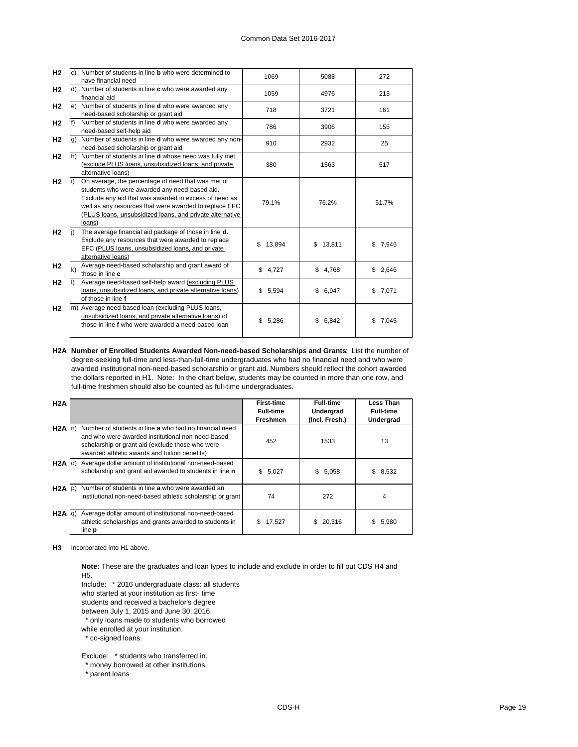| H2             |    | Number of students in line <b>b</b> who were determined to | 1069<br>5088 |              | 272     |
|----------------|----|------------------------------------------------------------|--------------|--------------|---------|
|                |    | have financial need                                        |              |              |         |
| H <sub>2</sub> |    | Number of students in line c who were awarded any          | 1059         | 4976         | 213     |
|                |    | financial aid                                              |              |              |         |
| H <sub>2</sub> | e) | Number of students in line <b>d</b> who were awarded any   | 718          | 3721         | 161     |
|                |    | need-based scholarship or grant aid                        |              |              |         |
| H <sub>2</sub> |    | Number of students in line d who were awarded any          | 786          | 3906         | 155     |
|                |    | need-based self-help aid                                   |              |              |         |
| H <sub>2</sub> |    | Number of students in line d who were awarded any non-     | 910          | 2932         | 25      |
|                |    | need-based scholarship or grant aid                        |              |              |         |
| H <sub>2</sub> | h) | Number of students in line d whose need was fully met      |              |              |         |
|                |    | (exclude PLUS loans, unsubsidized loans, and private       | 380          | 1563         | 517     |
|                |    | alternative loans)                                         |              |              |         |
| H <sub>2</sub> |    | On average, the percentage of need that was met of         |              |              |         |
|                |    | students who were awarded any need-based aid.              |              |              |         |
|                |    | Exclude any aid that was awarded in excess of need as      | 79.1%        | 76.2%        | 51.7%   |
|                |    | well as any resources that were awarded to replace EFC     |              |              |         |
|                |    | (PLUS loans, unsubsidized loans, and private alternative   |              |              |         |
|                |    | loans)                                                     |              |              |         |
| H <sub>2</sub> |    | The average financial aid package of those in line d.      |              |              |         |
|                |    | Exclude any resources that were awarded to replace         | \$13,894     | \$13,811     | \$7,945 |
|                |    | EFC (PLUS loans, unsubsidized loans, and private           |              |              |         |
|                |    | alternative loans)                                         |              |              |         |
| H <sub>2</sub> | k) | Average need-based scholarship and grant award of          | \$4,727      | \$4,768      | \$2,646 |
|                |    | those in line e                                            |              |              |         |
| H <sub>2</sub> |    | Average need-based self-help award (excluding PLUS         |              |              |         |
|                |    | loans, unsubsidized loans, and private alternative loans)  | \$5,594      | \$6,947      | \$7,071 |
|                |    | of those in line f                                         |              |              |         |
| H <sub>2</sub> |    | m) Average need-based loan (excluding PLUS loans,          |              |              |         |
|                |    | unsubsidized loans, and private alternative loans) of      | 5,286<br>\$  | \$.<br>6,842 | \$7,045 |
|                |    | those in line f who were awarded a need-based loan         |              |              |         |
|                |    |                                                            |              |              |         |

**H2A Number of Enrolled Students Awarded Non-need-based Scholarships and Grants**: List the number of degree-seeking full-time and less-than-full-time undergraduates who had no financial need and who were awarded institutional non-need-based scholarship or grant aid. Numbers should reflect the cohort awarded the dollars reported in H1. Note: In the chart below, students may be counted in more than one row, and full-time freshmen should also be counted as full-time undergraduates.

| H2A         |                                                                                                                                                                                                                  | <b>First-time</b><br><b>Full-time</b><br>Freshmen | <b>Full-time</b><br>Undergrad<br>(Incl. Fresh.) | <b>Less Than</b><br><b>Full-time</b><br>Undergrad |
|-------------|------------------------------------------------------------------------------------------------------------------------------------------------------------------------------------------------------------------|---------------------------------------------------|-------------------------------------------------|---------------------------------------------------|
| $H2A$ In)   | Number of students in line a who had no financial need<br>and who were awarded institutional non-need-based<br>scholarship or grant aid (exclude those who were<br>awarded athletic awards and tuition benefits) | 452                                               | 1533                                            | 13                                                |
| $H2A$ (0)   | Average dollar amount of institutional non-need-based<br>scholarship and grant aid awarded to students in line n                                                                                                 | \$5,027                                           | \$5,058                                         | \$8,532                                           |
| $H2A$ (p)   | Number of students in line a who were awarded an<br>institutional non-need-based athletic scholarship or grant                                                                                                   | 74                                                | 272                                             | 4                                                 |
| $H2A$ $q$ ) | Average dollar amount of institutional non-need-based<br>athletic scholarships and grants awarded to students in<br>line <b>p</b>                                                                                | 17,527<br>S.                                      | 20,316<br>\$.                                   | 5,980<br>S                                        |

**H3** Incorporated into H1 above.

**Note:** These are the graduates and loan types to include and exclude in order to fill out CDS H4 and H5.

Include: \* 2016 undergraduate class: all students

who started at your institution as first- time

students and received a bachelor's degree

between July 1, 2015 and June 30, 2016.

\* only loans made to students who borrowed

while enrolled at your institution.

\* co-signed loans.

Exclude: \* students who transferred in.

\* money borrowed at other institutions.

\* parent loans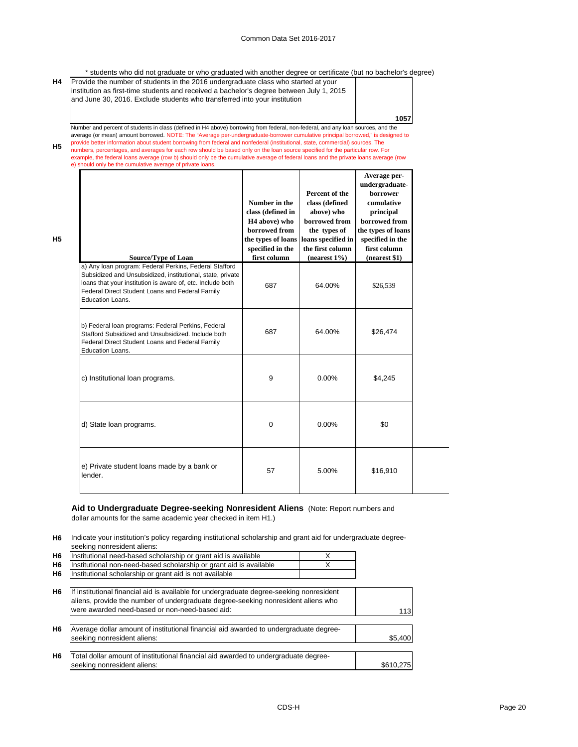\* students who did not graduate or who graduated with another degree or certificate (but no bachelor's degree)

| H4 | Provide the number of students in the 2016 undergraduate class who started at your        |      |
|----|-------------------------------------------------------------------------------------------|------|
|    | linstitution as first-time students and received a bachelor's degree between July 1, 2015 |      |
|    | and June 30, 2016. Exclude students who transferred into your institution                 |      |
|    |                                                                                           |      |
|    |                                                                                           | 1057 |
|    |                                                                                           |      |

**H5** Number and percent of students in class (defined in H4 above) borrowing from federal, non-federal, and any loan sources, and the average (or mean) amount borrowed. NOTE: The "Average per-undergraduate-borrower cumulative principal borrowed," is designed to<br>provide better information about student borrowing from federal and nonfederal (institutional, example, the federal loans average (row b) should only be the cumulative average of federal loans and the private loans average (row

e) should only be the cumulative average of private loans.

**H5**

| Source/Type of Loan                                                                                                                                                                                                                                       | Number in the<br>class (defined in<br>H <sub>4</sub> above) who<br>borrowed from<br>the types of loans<br>specified in the<br>first column | Percent of the<br>class (defined<br>above) who<br>borrowed from<br>the types of<br>loans specified in<br>the first column<br>$(nearest 1\%)$ | Average per-<br>undergraduate-<br>borrower<br>cumulative<br>principal<br>borrowed from<br>the types of loans<br>specified in the<br>first column<br>$(n \text{earest } $1)$ |
|-----------------------------------------------------------------------------------------------------------------------------------------------------------------------------------------------------------------------------------------------------------|--------------------------------------------------------------------------------------------------------------------------------------------|----------------------------------------------------------------------------------------------------------------------------------------------|-----------------------------------------------------------------------------------------------------------------------------------------------------------------------------|
| a) Any Ioan program: Federal Perkins, Federal Stafford<br>Subsidized and Unsubsidized, institutional, state, private<br>loans that your institution is aware of, etc. Include both<br>Federal Direct Student Loans and Federal Family<br>Education Loans. | 687                                                                                                                                        | 64.00%                                                                                                                                       | \$26,539                                                                                                                                                                    |
| b) Federal loan programs: Federal Perkins, Federal<br>Stafford Subsidized and Unsubsidized. Include both<br>Federal Direct Student Loans and Federal Family<br>Education Loans.                                                                           | 687                                                                                                                                        | 64.00%                                                                                                                                       | \$26,474                                                                                                                                                                    |
| c) Institutional loan programs.                                                                                                                                                                                                                           | 9                                                                                                                                          | $0.00\%$                                                                                                                                     | \$4,245                                                                                                                                                                     |
| d) State loan programs.                                                                                                                                                                                                                                   | 0                                                                                                                                          | 0.00%                                                                                                                                        | \$0                                                                                                                                                                         |
| e) Private student loans made by a bank or<br>lender.                                                                                                                                                                                                     | 57                                                                                                                                         | 5.00%                                                                                                                                        | \$16,910                                                                                                                                                                    |

# **Aid to Undergraduate Degree-seeking Nonresident Aliens** (Note: Report numbers and

dollar amounts for the same academic year checked in item H1.)

**H6** Indicate your institution's policy regarding institutional scholarship and grant aid for undergraduate degreeseeking nonresident aliens:

| H <sub>6</sub> | Institutional need-based scholarship or grant aid is available     |  |
|----------------|--------------------------------------------------------------------|--|
| H <sub>6</sub> | Institutional non-need-based scholarship or grant aid is available |  |
| H <sub>6</sub> | Institutional scholarship or grant aid is not available            |  |
|                |                                                                    |  |

| H <sub>6</sub> | If institutional financial aid is available for undergraduate degree-seeking nonresident<br>aliens, provide the number of undergraduate degree-seeking nonresident aliens who |           |
|----------------|-------------------------------------------------------------------------------------------------------------------------------------------------------------------------------|-----------|
|                | were awarded need-based or non-need-based aid:                                                                                                                                | 113       |
| H <sub>6</sub> | Average dollar amount of institutional financial aid awarded to undergraduate degree-<br>seeking nonresident aliens:                                                          | \$5.400   |
| H <sub>6</sub> | Total dollar amount of institutional financial aid awarded to undergraduate degree-<br>seeking nonresident aliens:                                                            | \$610.275 |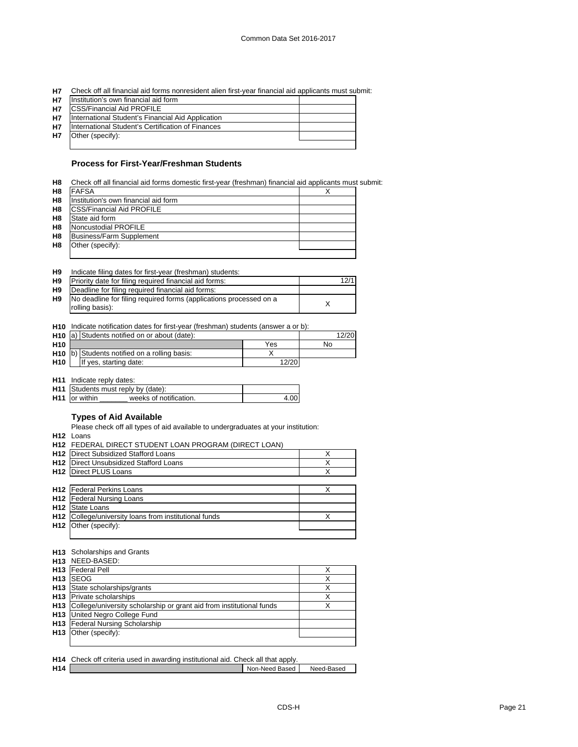| H7 Check off all financial aid forms nonresident alien first-year financial aid applicants must submit: |  |  |
|---------------------------------------------------------------------------------------------------------|--|--|
|                                                                                                         |  |  |

| <b>H7</b> | Institution's own financial aid form              |  |
|-----------|---------------------------------------------------|--|
| <b>H7</b> | <b>ICSS/Financial Aid PROFILE</b>                 |  |
| <b>H7</b> | International Student's Financial Aid Application |  |
| <b>H7</b> | International Student's Certification of Finances |  |
| <b>H7</b> | Other (specify):                                  |  |
|           |                                                   |  |

### **Process for First-Year/Freshman Students**

|  | H8 Check off all financial aid forms domestic first-year (freshman) financial aid applicants must submit: |  |  |  |
|--|-----------------------------------------------------------------------------------------------------------|--|--|--|
|--|-----------------------------------------------------------------------------------------------------------|--|--|--|

| H <sub>8</sub> | <b>FAFSA</b>                         |  |
|----------------|--------------------------------------|--|
| H <sub>8</sub> | Institution's own financial aid form |  |
| H8             | <b>ICSS/Financial Aid PROFILE</b>    |  |
| H <sub>8</sub> | State aid form                       |  |
| H <sub>8</sub> | Noncustodial PROFILE                 |  |
| H <sub>8</sub> | Business/Farm Supplement             |  |
| H <sub>8</sub> | Other (specify):                     |  |
|                |                                      |  |

|  | H9 | Indicate filing dates for first-year (freshman) students: |  |  |  |  |  |
|--|----|-----------------------------------------------------------|--|--|--|--|--|
|--|----|-----------------------------------------------------------|--|--|--|--|--|

| H <sub>9</sub> | Priority date for filing required financial aid forms:                                | 12/1 |
|----------------|---------------------------------------------------------------------------------------|------|
| H <sub>9</sub> | Deadline for filing required financial aid forms:                                     |      |
| H9             | No deadline for filing required forms (applications processed on a<br>rolling basis): |      |
|                |                                                                                       |      |

**H10** Indicate notification dates for first-year (freshman) students (answer a or b):

| H <sub>10</sub> a) Students notified on or about (date): |  | 12/20                                                    |       |    |
|----------------------------------------------------------|--|----------------------------------------------------------|-------|----|
| H <sub>10</sub>                                          |  |                                                          | Yes   | No |
|                                                          |  | H <sub>10</sub> b) Students notified on a rolling basis: |       |    |
| H <sub>10</sub>                                          |  | If yes, starting date:                                   | 12/20 |    |

**H11** Indicate reply dates:

|                       | <b>H11</b> Students must reply by (date): |  |  |  |
|-----------------------|-------------------------------------------|--|--|--|
| <b>H11</b> for within | weeks of notification.                    |  |  |  |

### **Types of Aid Available**

Please check off all types of aid available to undergraduates at your institution:

**H12** Loans

|                 | H12 FEDERAL DIRECT STUDENT LOAN PROGRAM (DIRECT LOAN) |   |
|-----------------|-------------------------------------------------------|---|
| H <sub>12</sub> | Direct Subsidized Stafford Loans                      | X |
| H <sub>12</sub> | Direct Unsubsidized Stafford Loans                    |   |
| H <sub>12</sub> | <b>Direct PLUS Loans</b>                              | X |
|                 |                                                       |   |
| H <sub>12</sub> | <b>Federal Perkins Loans</b>                          | X |
| H <sub>12</sub> | <b>Federal Nursing Loans</b>                          |   |
| H <sub>12</sub> | State Loans                                           |   |
| H <sub>12</sub> | College/university loans from institutional funds     | X |
| H <sub>12</sub> | Other (specify):                                      |   |
|                 |                                                       |   |

#### **H13** Scholarships and Grants

| H13 NEED-BASED:                                                          |   |
|--------------------------------------------------------------------------|---|
| <b>H13</b> Federal Pell                                                  |   |
| H <sub>13</sub> ISEOG                                                    |   |
| H <sub>13</sub> State scholarships/grants                                | v |
| <b>H13</b> Private scholarships                                          | х |
| H13 College/university scholarship or grant aid from institutional funds | v |
| <b>H13</b> United Negro College Fund                                     |   |
| H13 Federal Nursing Scholarship                                          |   |
| H <sub>13</sub> Other (specify):                                         |   |
|                                                                          |   |

|                 | H14 Check off criteria used in awarding institutional aid. Check all that apply. |                |            |
|-----------------|----------------------------------------------------------------------------------|----------------|------------|
| H <sub>14</sub> |                                                                                  | Non-Need Based | Need-Based |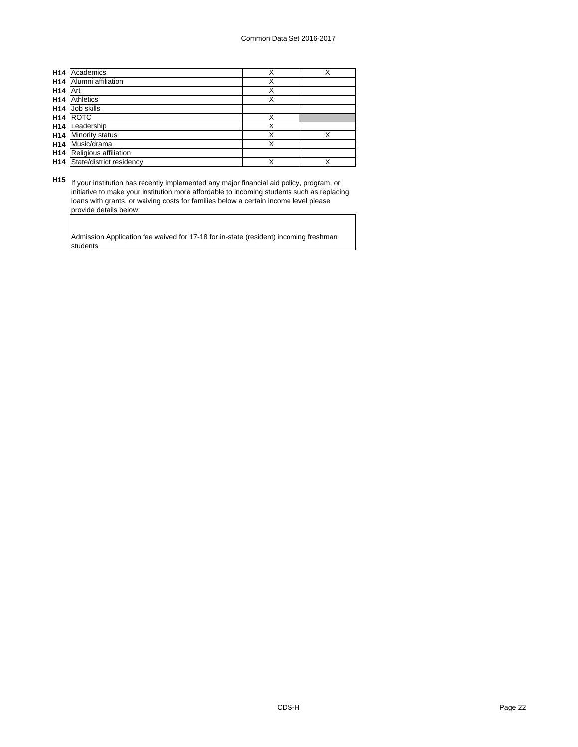| H <sub>14</sub> | Academics                | Χ | X |
|-----------------|--------------------------|---|---|
| H <sub>14</sub> | Alumni affiliation       | Χ |   |
| H <sub>14</sub> | Art                      | Χ |   |
| H <sub>14</sub> | Athletics                | Χ |   |
| H <sub>14</sub> | Job skills               |   |   |
| H <sub>14</sub> | <b>ROTC</b>              | X |   |
| H <sub>14</sub> | Leadership               | Χ |   |
| H <sub>14</sub> | <b>Minority status</b>   | Χ | X |
| H <sub>14</sub> | Music/drama              | Χ |   |
| H <sub>14</sub> | Religious affiliation    |   |   |
| H <sub>14</sub> | State/district residency | X | X |

**H15** If your institution has recently implemented any major financial aid policy, program, or initiative to make your institution more affordable to incoming students such as replacing loans with grants, or waiving costs for families below a certain income level please provide details below:

Admission Application fee waived for 17-18 for in-state (resident) incoming freshman students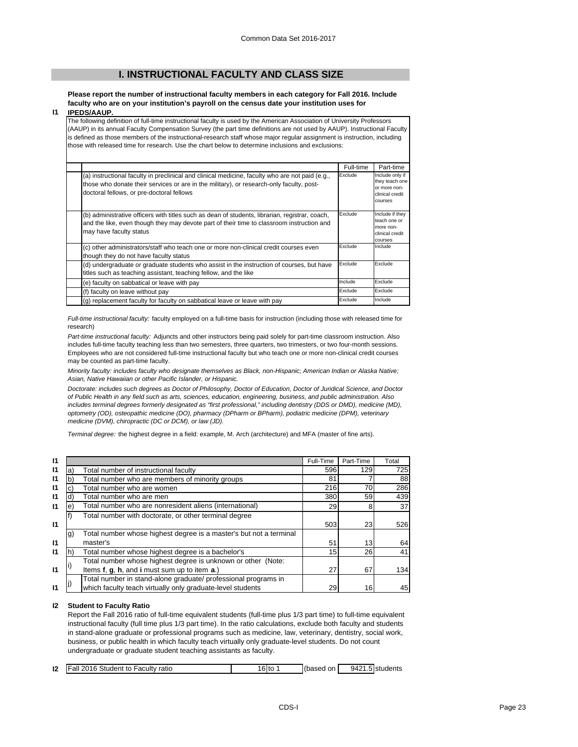## **I. INSTRUCTIONAL FACULTY AND CLASS SIZE**

**Please report the number of instructional faculty members in each category for Fall 2016. Include faculty who are on your institution's payroll on the census date your institution uses for** 

#### **I1 IPEDS/AAUP.**

The following definition of full-time instructional faculty is used by the American Association of University Professors (AAUP) in its annual Faculty Compensation Survey (the part time definitions are not used by AAUP). Instructional Faculty is defined as those members of the instructional-research staff whose major regular assignment is instruction, including those with released time for research. Use the chart below to determine inclusions and exclusions:

|                                                                                                                                                                                                                                          | Full-time | Part-time                                                                       |
|------------------------------------------------------------------------------------------------------------------------------------------------------------------------------------------------------------------------------------------|-----------|---------------------------------------------------------------------------------|
| (a) instructional faculty in preclinical and clinical medicine, faculty who are not paid (e.g.,<br>those who donate their services or are in the military), or research-only faculty, post-<br>doctoral fellows, or pre-doctoral fellows | Exclude   | Include only if<br>they teach one<br>or more non-<br>clinical credit<br>courses |
| (b) administrative officers with titles such as dean of students, librarian, registrar, coach,<br>and the like, even though they may devote part of their time to classroom instruction and<br>may have faculty status                   | Exclude   | Include if they<br>teach one or<br>more non-<br>clinical credit<br>courses      |
| (c) other administrators/staff who teach one or more non-clinical credit courses even<br>though they do not have faculty status                                                                                                          | Exclude   | Include                                                                         |
| (d) undergraduate or graduate students who assist in the instruction of courses, but have<br>titles such as teaching assistant, teaching fellow, and the like                                                                            | Exclude   | Exclude                                                                         |
| (e) faculty on sabbatical or leave with pay                                                                                                                                                                                              | Include   | Exclude                                                                         |
| (f) faculty on leave without pay                                                                                                                                                                                                         | Exclude   | Exclude                                                                         |
| (g) replacement faculty for faculty on sabbatical leave or leave with pay                                                                                                                                                                | Exclude   | Include                                                                         |

*Full-time instructional faculty:* faculty employed on a full-time basis for instruction (including those with released time for research)

*Part-time instructional faculty:* Adjuncts and other instructors being paid solely for part-time classroom instruction. Also includes full-time faculty teaching less than two semesters, three quarters, two trimesters, or two four-month sessions. Employees who are not considered full-time instructional faculty but who teach one or more non-clinical credit courses may be counted as part-time faculty.

*Minority faculty: includes faculty who designate themselves as Black, non-Hispanic; American Indian or Alaska Native; Asian, Native Hawaiian or other Pacific Islander, or Hispanic.* 

*Doctorate: includes such degrees as Doctor of Philosophy, Doctor of Education, Doctor of Juridical Science, and Doctor of Public Health in any field such as arts, sciences, education, engineering, business, and public administration. Also*  includes terminal degrees formerly designated as "first professional," including dentistry (DDS or DMD), medicine (MD), *optometry (OD), osteopathic medicine (DO), pharmacy (DPharm or BPharm), podiatric medicine (DPM), veterinary medicine (DVM), chiropractic (DC or DCM), or law (JD).*

*Terminal degree:* the highest degree in a field: example, M. Arch (architecture) and MFA (master of fine arts).

| 11           |    |                                                                    | Full-Time       | Part-Time | Total           |
|--------------|----|--------------------------------------------------------------------|-----------------|-----------|-----------------|
| 11           | a) | Total number of instructional faculty                              | 596             | 129       | 725             |
| 11           | b  | Total number who are members of minority groups                    | 81              |           | 88              |
| 11           |    | Total number who are women                                         | 216             | 70        | 286             |
| 11           | d) | Total number who are men                                           | 380             | 59        | 439             |
| $\mathbf{I}$ | e) | Total number who are nonresident aliens (international)            | 29              | 8         | 37 <sup>l</sup> |
|              |    | Total number with doctorate, or other terminal degree              |                 |           |                 |
| $\mathsf{I}$ |    |                                                                    | 503             | 23        | 526             |
|              | g) | Total number whose highest degree is a master's but not a terminal |                 |           |                 |
| $\mathbf{I}$ |    | master's                                                           | 51              | 13        | 64              |
| 11           |    | Total number whose highest degree is a bachelor's                  | 15 <sup>1</sup> | 26        | 41              |
|              |    | Total number whose highest degree is unknown or other (Note:       |                 |           |                 |
| $\mathbf{I}$ |    | Items f, g, h, and i must sum up to item a.)                       | 27              | 67        | 134             |
|              |    | Total number in stand-alone graduate/ professional programs in     |                 |           |                 |
| 11           |    | which faculty teach virtually only graduate-level students         | 29              | 16        | 45              |

#### **I2 Student to Faculty Ratio**

Report the Fall 2016 ratio of full-time equivalent students (full-time plus 1/3 part time) to full-time equivalent instructional faculty (full time plus 1/3 part time). In the ratio calculations, exclude both faculty and students in stand-alone graduate or professional programs such as medicine, law, veterinary, dentistry, social work, business, or public health in which faculty teach virtually only graduate-level students. Do not count undergraduate or graduate student teaching assistants as faculty.

| 12 | Fall 2016 Student to Faculty ratio | $16$ to | (based on | 9421.5 students |
|----|------------------------------------|---------|-----------|-----------------|
|    |                                    |         |           |                 |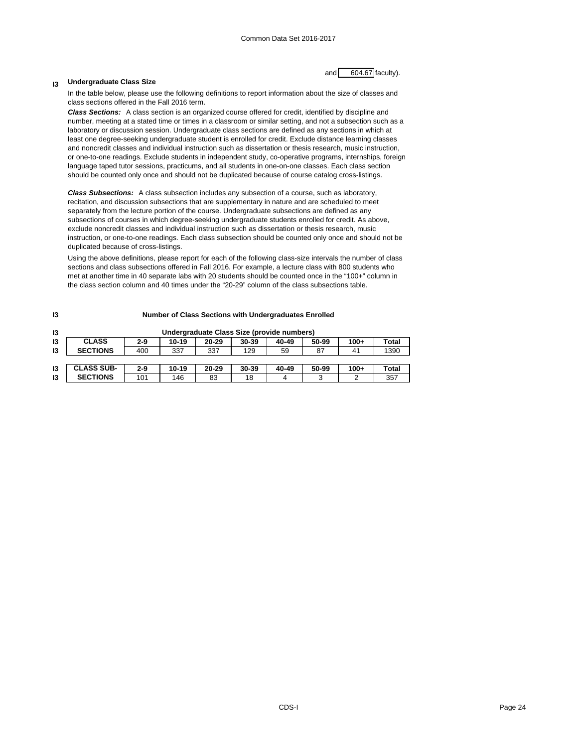### **Undergraduate Class Size**

**I3**

and  $\overline{604.67}$  faculty).

In the table below, please use the following definitions to report information about the size of classes and class sections offered in the Fall 2016 term.

*Class Sections:* A class section is an organized course offered for credit, identified by discipline and number, meeting at a stated time or times in a classroom or similar setting, and not a subsection such as a laboratory or discussion session. Undergraduate class sections are defined as any sections in which at least one degree-seeking undergraduate student is enrolled for credit. Exclude distance learning classes and noncredit classes and individual instruction such as dissertation or thesis research, music instruction, or one-to-one readings. Exclude students in independent study, co-operative programs, internships, foreign language taped tutor sessions, practicums, and all students in one-on-one classes. Each class section should be counted only once and should not be duplicated because of course catalog cross-listings.

*Class Subsections:* A class subsection includes any subsection of a course, such as laboratory, recitation, and discussion subsections that are supplementary in nature and are scheduled to meet separately from the lecture portion of the course. Undergraduate subsections are defined as any subsections of courses in which degree-seeking undergraduate students enrolled for credit. As above, exclude noncredit classes and individual instruction such as dissertation or thesis research, music instruction, or one-to-one readings. Each class subsection should be counted only once and should not be duplicated because of cross-listings.

Using the above definitions, please report for each of the following class-size intervals the number of class sections and class subsections offered in Fall 2016. For example, a lecture class with 800 students who met at another time in 40 separate labs with 20 students should be counted once in the "100+" column in the class section column and 40 times under the "20-29" column of the class subsections table.

| 13 | <b>Number of Class Sections with Undergraduates Enrolled</b> |         |       |           |                                            |       |          |        |       |
|----|--------------------------------------------------------------|---------|-------|-----------|--------------------------------------------|-------|----------|--------|-------|
| 13 |                                                              |         |       |           | Undergraduate Class Size (provide numbers) |       |          |        |       |
| 13 | <b>CLASS</b>                                                 | $2 - 9$ | 10-19 | $20 - 29$ | 30-39                                      | 40-49 | 50-99    | $100+$ | Total |
| 13 | <b>SECTIONS</b>                                              | 400     | 337   | 337       | 129                                        | 59    | 87       | 41     | 1390  |
|    |                                                              |         |       |           |                                            |       |          |        |       |
| 13 | <b>CLASS SUB-</b>                                            | $2 - 9$ | 10-19 | $20 - 29$ | 30-39                                      | 40-49 | 50-99    | $100+$ | Total |
| 13 | <b>SECTIONS</b>                                              | 101     | 146   | 83        | 18                                         |       | <b>C</b> | າ      | 357   |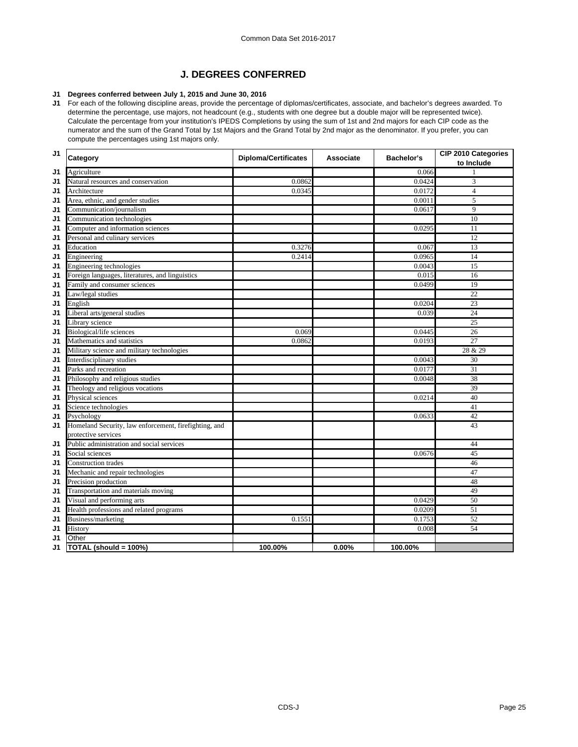# **J. DEGREES CONFERRED**

### **J1 Degrees conferred between July 1, 2015 and June 30, 2016**

**J1** For each of the following discipline areas, provide the percentage of diplomas/certificates, associate, and bachelor's degrees awarded. To determine the percentage, use majors, not headcount (e.g., students with one degree but a double major will be represented twice). Calculate the percentage from your institution's IPEDS Completions by using the sum of 1st and 2nd majors for each CIP code as the numerator and the sum of the Grand Total by 1st Majors and the Grand Total by 2nd major as the denominator. If you prefer, you can compute the percentages using 1st majors only.

| J1 | Category                                              | <b>Diploma/Certificates</b> | <b>Associate</b> | Bachelor's | CIP 2010 Categories<br>to Include |
|----|-------------------------------------------------------|-----------------------------|------------------|------------|-----------------------------------|
| J1 | Agriculture                                           |                             |                  | 0.066      | 1                                 |
| J1 | Natural resources and conservation                    | 0.0862                      |                  | 0.0424     | 3                                 |
| J1 | Architecture                                          | 0.0345                      |                  | 0.0172     | $\overline{4}$                    |
| J1 | Area, ethnic, and gender studies                      |                             |                  | 0.0011     | 5                                 |
| J1 | Communication/journalism                              |                             |                  | 0.0617     | 9                                 |
| J1 | Communication technologies                            |                             |                  |            | 10                                |
| J1 | Computer and information sciences                     |                             |                  | 0.0295     | 11                                |
| J1 | Personal and culinary services                        |                             |                  |            | 12                                |
| J1 | Education                                             | 0.3276                      |                  | 0.067      | 13                                |
| J1 | Engineering                                           | 0.2414                      |                  | 0.0965     | 14                                |
| J1 | Engineering technologies                              |                             |                  | 0.0043     | 15                                |
| J1 | Foreign languages, literatures, and linguistics       |                             |                  | 0.015      | 16                                |
| J1 | Family and consumer sciences                          |                             |                  | 0.0499     | 19                                |
| J1 | Law/legal studies                                     |                             |                  |            | $\overline{22}$                   |
| J1 | English                                               |                             |                  | 0.0204     | 23                                |
| J1 | Liberal arts/general studies                          |                             |                  | 0.039      | 24                                |
| J1 | Library science                                       |                             |                  |            | $\overline{25}$                   |
| J1 | Biological/life sciences                              | 0.069                       |                  | 0.0445     | 26                                |
| J1 | Mathematics and statistics                            | 0.0862                      |                  | 0.0193     | $\overline{27}$                   |
| J1 | Military science and military technologies            |                             |                  |            | 28 & 29                           |
| J1 | Interdisciplinary studies                             |                             |                  | 0.0043     | 30                                |
| J1 | Parks and recreation                                  |                             |                  | 0.0177     | $\overline{31}$                   |
| J1 | Philosophy and religious studies                      |                             |                  | 0.0048     | 38                                |
| J1 | Theology and religious vocations                      |                             |                  |            | 39                                |
| J1 | Physical sciences                                     |                             |                  | 0.0214     | 40                                |
| J1 | Science technologies                                  |                             |                  |            | 41                                |
| J1 | Psychology                                            |                             |                  | 0.0633     | 42                                |
| J1 | Homeland Security, law enforcement, firefighting, and |                             |                  |            | 43                                |
|    | protective services                                   |                             |                  |            |                                   |
| J1 | Public administration and social services             |                             |                  |            | 44                                |
| J1 | Social sciences                                       |                             |                  | 0.0676     | 45                                |
| J1 | <b>Construction trades</b>                            |                             |                  |            | 46                                |
| J1 | Mechanic and repair technologies                      |                             |                  |            | 47                                |
| J1 | Precision production                                  |                             |                  |            | 48                                |
| J1 | Transportation and materials moving                   |                             |                  |            | 49                                |
| J1 | Visual and performing arts                            |                             |                  | 0.0429     | 50                                |
| J1 | Health professions and related programs               |                             |                  | 0.0209     | 51                                |
| J1 | Business/marketing                                    | 0.1551                      |                  | 0.1753     | 52                                |
| J1 | History                                               |                             |                  | 0.008      | 54                                |
| J1 | Other                                                 |                             |                  |            |                                   |
| J1 | TOTAL (should = 100%)                                 | 100.00%                     | 0.00%            | 100.00%    |                                   |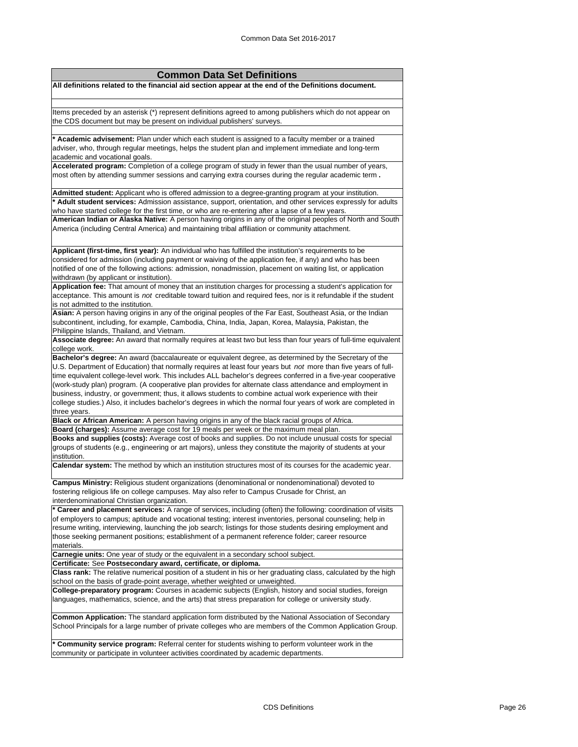| <b>Common Data Set Definitions</b>                                                                                                                                                                                              |
|---------------------------------------------------------------------------------------------------------------------------------------------------------------------------------------------------------------------------------|
| All definitions related to the financial aid section appear at the end of the Definitions document.                                                                                                                             |
|                                                                                                                                                                                                                                 |
| Items preceded by an asterisk (*) represent definitions agreed to among publishers which do not appear on                                                                                                                       |
| the CDS document but may be present on individual publishers' surveys.                                                                                                                                                          |
|                                                                                                                                                                                                                                 |
| * Academic advisement: Plan under which each student is assigned to a faculty member or a trained                                                                                                                               |
| adviser, who, through regular meetings, helps the student plan and implement immediate and long-term                                                                                                                            |
| academic and vocational goals.<br>Accelerated program: Completion of a college program of study in fewer than the usual number of years,                                                                                        |
| most often by attending summer sessions and carrying extra courses during the regular academic term.                                                                                                                            |
|                                                                                                                                                                                                                                 |
| Admitted student: Applicant who is offered admission to a degree-granting program at your institution.                                                                                                                          |
| * Adult student services: Admission assistance, support, orientation, and other services expressly for adults                                                                                                                   |
| who have started college for the first time, or who are re-entering after a lapse of a few years.                                                                                                                               |
| American Indian or Alaska Native: A person having origins in any of the original peoples of North and South<br>America (including Central America) and maintaining tribal affiliation or community attachment.                  |
|                                                                                                                                                                                                                                 |
| Applicant (first-time, first year): An individual who has fulfilled the institution's requirements to be                                                                                                                        |
| considered for admission (including payment or waiving of the application fee, if any) and who has been                                                                                                                         |
| notified of one of the following actions: admission, nonadmission, placement on waiting list, or application                                                                                                                    |
| withdrawn (by applicant or institution).                                                                                                                                                                                        |
| Application fee: That amount of money that an institution charges for processing a student's application for                                                                                                                    |
| acceptance. This amount is not creditable toward tuition and required fees, nor is it refundable if the student                                                                                                                 |
| is not admitted to the institution.<br>Asian: A person having origins in any of the original peoples of the Far East, Southeast Asia, or the Indian                                                                             |
| subcontinent, including, for example, Cambodia, China, India, Japan, Korea, Malaysia, Pakistan, the                                                                                                                             |
| Philippine Islands, Thailand, and Vietnam.                                                                                                                                                                                      |
| Associate degree: An award that normally requires at least two but less than four years of full-time equivalent                                                                                                                 |
| college work.                                                                                                                                                                                                                   |
| Bachelor's degree: An award (baccalaureate or equivalent degree, as determined by the Secretary of the                                                                                                                          |
| U.S. Department of Education) that normally requires at least four years but not more than five years of full-<br>time equivalent college-level work. This includes ALL bachelor's degrees conferred in a five-year cooperative |
| (work-study plan) program. (A cooperative plan provides for alternate class attendance and employment in                                                                                                                        |
| business, industry, or government; thus, it allows students to combine actual work experience with their                                                                                                                        |
| college studies.) Also, it includes bachelor's degrees in which the normal four years of work are completed in                                                                                                                  |
| three years.                                                                                                                                                                                                                    |
| Black or African American: A person having origins in any of the black racial groups of Africa.                                                                                                                                 |
| Board (charges): Assume average cost for 19 meals per week or the maximum meal plan.<br>Books and supplies (costs): Average cost of books and supplies. Do not include unusual costs for special                                |
| groups of students (e.g., engineering or art majors), unless they constitute the majority of students at your                                                                                                                   |
| institution.                                                                                                                                                                                                                    |
| Calendar system: The method by which an institution structures most of its courses for the academic year.                                                                                                                       |
| Campus Ministry: Religious student organizations (denominational or nondenominational) devoted to                                                                                                                               |
| fostering religious life on college campuses. May also refer to Campus Crusade for Christ, an                                                                                                                                   |
| interdenominational Christian organization.                                                                                                                                                                                     |
| * Career and placement services: A range of services, including (often) the following: coordination of visits                                                                                                                   |
| of employers to campus; aptitude and vocational testing; interest inventories, personal counseling; help in                                                                                                                     |
| resume writing, interviewing, launching the job search; listings for those students desiring employment and                                                                                                                     |
| those seeking permanent positions; establishment of a permanent reference folder; career resource<br>materials.                                                                                                                 |
| Carnegie units: One year of study or the equivalent in a secondary school subject.                                                                                                                                              |
| Certificate: See Postsecondary award, certificate, or diploma.                                                                                                                                                                  |
| Class rank: The relative numerical position of a student in his or her graduating class, calculated by the high<br>school on the basis of grade-point average, whether weighted or unweighted.                                  |
| College-preparatory program: Courses in academic subjects (English, history and social studies, foreign                                                                                                                         |
| languages, mathematics, science, and the arts) that stress preparation for college or university study.                                                                                                                         |
| Common Application: The standard application form distributed by the National Association of Secondary                                                                                                                          |
| School Principals for a large number of private colleges who are members of the Common Application Group.                                                                                                                       |
| * Community service program: Referral center for students wishing to perform volunteer work in the<br>community or participate in volunteer activities coordinated by academic departments.                                     |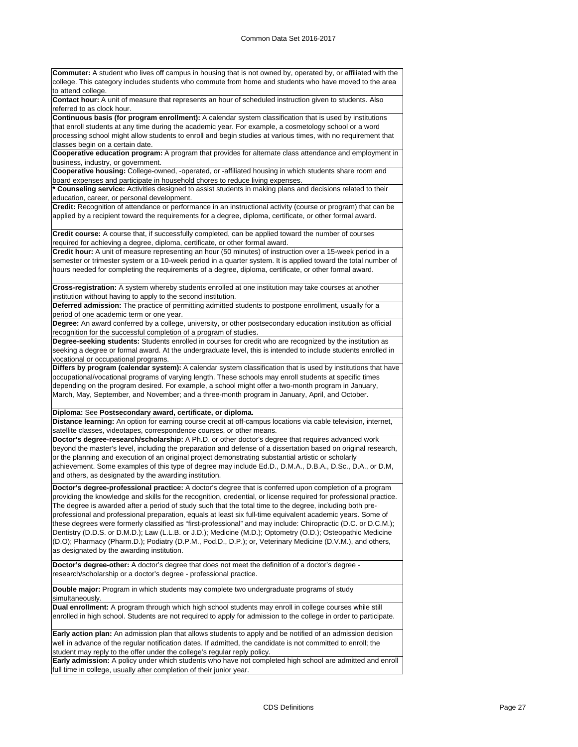| Commuter: A student who lives off campus in housing that is not owned by, operated by, or affiliated with the                                                                                                            |
|--------------------------------------------------------------------------------------------------------------------------------------------------------------------------------------------------------------------------|
| college. This category includes students who commute from home and students who have moved to the area<br>to attend college.                                                                                             |
| Contact hour: A unit of measure that represents an hour of scheduled instruction given to students. Also<br>referred to as clock hour.                                                                                   |
| Continuous basis (for program enrollment): A calendar system classification that is used by institutions                                                                                                                 |
| that enroll students at any time during the academic year. For example, a cosmetology school or a word                                                                                                                   |
| processing school might allow students to enroll and begin studies at various times, with no requirement that                                                                                                            |
| classes begin on a certain date.                                                                                                                                                                                         |
| Cooperative education program: A program that provides for alternate class attendance and employment in                                                                                                                  |
| business, industry, or government.                                                                                                                                                                                       |
| Cooperative housing: College-owned, -operated, or -affiliated housing in which students share room and                                                                                                                   |
| board expenses and participate in household chores to reduce living expenses.                                                                                                                                            |
| * Counseling service: Activities designed to assist students in making plans and decisions related to their                                                                                                              |
| education, career, or personal development.                                                                                                                                                                              |
| Credit: Recognition of attendance or performance in an instructional activity (course or program) that can be                                                                                                            |
| applied by a recipient toward the requirements for a degree, diploma, certificate, or other formal award.                                                                                                                |
| Credit course: A course that, if successfully completed, can be applied toward the number of courses<br>required for achieving a degree, diploma, certificate, or other formal award.                                    |
| Credit hour: A unit of measure representing an hour (50 minutes) of instruction over a 15-week period in a                                                                                                               |
| semester or trimester system or a 10-week period in a quarter system. It is applied toward the total number of<br>hours needed for completing the requirements of a degree, diploma, certificate, or other formal award. |
| Cross-registration: A system whereby students enrolled at one institution may take courses at another                                                                                                                    |
| institution without having to apply to the second institution.                                                                                                                                                           |
| Deferred admission: The practice of permitting admitted students to postpone enrollment, usually for a                                                                                                                   |
| period of one academic term or one year.                                                                                                                                                                                 |
| Degree: An award conferred by a college, university, or other postsecondary education institution as official                                                                                                            |
| recognition for the successful completion of a program of studies.                                                                                                                                                       |
| Degree-seeking students: Students enrolled in courses for credit who are recognized by the institution as                                                                                                                |
| seeking a degree or formal award. At the undergraduate level, this is intended to include students enrolled in                                                                                                           |
| vocational or occupational programs.                                                                                                                                                                                     |
| Differs by program (calendar system): A calendar system classification that is used by institutions that have                                                                                                            |
| occupational/vocational programs of varying length. These schools may enroll students at specific times                                                                                                                  |
| depending on the program desired. For example, a school might offer a two-month program in January,                                                                                                                      |
| March, May, September, and November; and a three-month program in January, April, and October.                                                                                                                           |
| Diploma: See Postsecondary award, certificate, or diploma.                                                                                                                                                               |
| Distance learning: An option for earning course credit at off-campus locations via cable television, internet,                                                                                                           |
| satellite classes, videotapes, correspondence courses, or other means.                                                                                                                                                   |
| Doctor's degree-research/scholarship: A Ph.D. or other doctor's degree that requires advanced work                                                                                                                       |
| beyond the master's level, including the preparation and defense of a dissertation based on original research,                                                                                                           |
| or the planning and execution of an original project demonstrating substantial artistic or scholarly                                                                                                                     |
| achievement. Some examples of this type of degree may include Ed.D., D.M.A., D.B.A., D.Sc., D.A., or D.M,                                                                                                                |
| and others, as designated by the awarding institution.                                                                                                                                                                   |
|                                                                                                                                                                                                                          |
| Doctor's degree-professional practice: A doctor's degree that is conferred upon completion of a program                                                                                                                  |
| providing the knowledge and skills for the recognition, credential, or license required for professional practice.                                                                                                       |
| The degree is awarded after a period of study such that the total time to the degree, including both pre-                                                                                                                |
| professional and professional preparation, equals at least six full-time equivalent academic years. Some of                                                                                                              |
| these degrees were formerly classified as "first-professional" and may include: Chiropractic (D.C. or D.C.M.);                                                                                                           |
| Dentistry (D.D.S. or D.M.D.); Law (L.L.B. or J.D.); Medicine (M.D.); Optometry (O.D.); Osteopathic Medicine                                                                                                              |
| (D.O); Pharmacy (Pharm.D.); Podiatry (D.P.M., Pod.D., D.P.); or, Veterinary Medicine (D.V.M.), and others,                                                                                                               |
| as designated by the awarding institution.                                                                                                                                                                               |
|                                                                                                                                                                                                                          |
| Doctor's degree-other: A doctor's degree that does not meet the definition of a doctor's degree -<br>research/scholarship or a doctor's degree - professional practice.                                                  |
| Double major: Program in which students may complete two undergraduate programs of study                                                                                                                                 |
| simultaneously.                                                                                                                                                                                                          |
| Dual enrollment: A program through which high school students may enroll in college courses while still                                                                                                                  |
| enrolled in high school. Students are not required to apply for admission to the college in order to participate.                                                                                                        |
| Early action plan: An admission plan that allows students to apply and be notified of an admission decision                                                                                                              |
| well in advance of the regular notification dates. If admitted, the candidate is not committed to enroll; the                                                                                                            |
| student may reply to the offer under the college's regular reply policy.                                                                                                                                                 |
| Early admission: A policy under which students who have not completed high school are admitted and enroll                                                                                                                |
| full time in college, usually after completion of their junior year.                                                                                                                                                     |
|                                                                                                                                                                                                                          |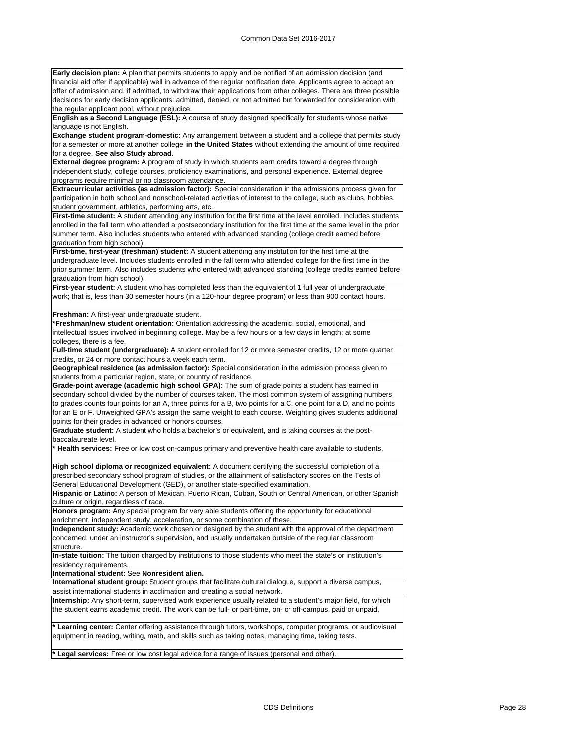**Early decision plan:** A plan that permits students to apply and be notified of an admission decision (and financial aid offer if applicable) well in advance of the regular notification date. Applicants agree to accept an offer of admission and, if admitted, to withdraw their applications from other colleges. There are three possible decisions for early decision applicants: admitted, denied, or not admitted but forwarded for consideration with the regular applicant pool, without prejudice.

**English as a Second Language (ESL):** A course of study designed specifically for students whose native language is not English.

**Exchange student program-domestic:** Any arrangement between a student and a college that permits study for a semester or more at another college **in the United States** without extending the amount of time required for a degree. **See also Study abroad**.

**External degree program:** A program of study in which students earn credits toward a degree through independent study, college courses, proficiency examinations, and personal experience. External degree programs require minimal or no classroom attendance.

**Extracurricular activities (as admission factor):** Special consideration in the admissions process given for participation in both school and nonschool-related activities of interest to the college, such as clubs, hobbies, student government, athletics, performing arts, etc.

**First-time student:** A student attending any institution for the first time at the level enrolled. Includes students enrolled in the fall term who attended a postsecondary institution for the first time at the same level in the prior summer term. Also includes students who entered with advanced standing (college credit earned before graduation from high school).

**First-time, first-year (freshman) student:** A student attending any institution for the first time at the undergraduate level. Includes students enrolled in the fall term who attended college for the first time in the prior summer term. Also includes students who entered with advanced standing (college credits earned before graduation from high school).

First-year student: A student who has completed less than the equivalent of 1 full year of undergraduate work; that is, less than 30 semester hours (in a 120-hour degree program) or less than 900 contact hours.

#### **Freshman:** A first-year undergraduate student.

**\*Freshman/new student orientation:** Orientation addressing the academic, social, emotional, and intellectual issues involved in beginning college. May be a few hours or a few days in length; at some colleges, there is a fee.

**Full-time student (undergraduate):** A student enrolled for 12 or more semester credits, 12 or more quarter credits, or 24 or more contact hours a week each term.

**Geographical residence (as admission factor):** Special consideration in the admission process given to students from a particular region, state, or country of residence.

**Grade-point average (academic high school GPA):** The sum of grade points a student has earned in secondary school divided by the number of courses taken. The most common system of assigning numbers to grades counts four points for an A, three points for a B, two points for a C, one point for a D, and no points for an E or F. Unweighted GPA's assign the same weight to each course. Weighting gives students additional points for their grades in advanced or honors courses.

**Graduate student:** A student who holds a bachelor's or equivalent, and is taking courses at the postbaccalaureate level.

**\* Health services:** Free or low cost on-campus primary and preventive health care available to students.

**High school diploma or recognized equivalent:** A document certifying the successful completion of a prescribed secondary school program of studies, or the attainment of satisfactory scores on the Tests of General Educational Development (GED), or another state-specified examination.

**Hispanic or Latino:** A person of Mexican, Puerto Rican, Cuban, South or Central American, or other Spanish culture or origin, regardless of race.

**Honors program:** Any special program for very able students offering the opportunity for educational enrichment, independent study, acceleration, or some combination of these.

**Independent study:** Academic work chosen or designed by the student with the approval of the department concerned, under an instructor's supervision, and usually undertaken outside of the regular classroom structure.

**In-state tuition:** The tuition charged by institutions to those students who meet the state's or institution's residency requirements.

**International student:** See **Nonresident alien.**

**International student group:** Student groups that facilitate cultural dialogue, support a diverse campus, assist international students in acclimation and creating a social network.

**Internship:** Any short-term, supervised work experience usually related to a student's major field, for which the student earns academic credit. The work can be full- or part-time, on- or off-campus, paid or unpaid.

**\* Learning center:** Center offering assistance through tutors, workshops, computer programs, or audiovisual equipment in reading, writing, math, and skills such as taking notes, managing time, taking tests.

**\* Legal services:** Free or low cost legal advice for a range of issues (personal and other).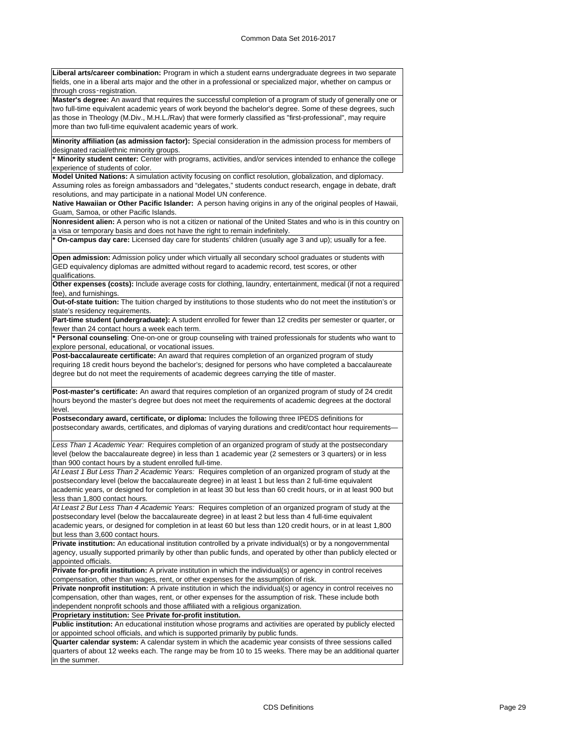**Liberal arts/career combination:** Program in which a student earns undergraduate degrees in two separate fields, one in a liberal arts major and the other in a professional or specialized major, whether on campus or through cross‑registration.

**Master's degree:** An award that requires the successful completion of a program of study of generally one or two full-time equivalent academic years of work beyond the bachelor's degree. Some of these degrees, such as those in Theology (M.Div., M.H.L./Rav) that were formerly classified as "first-professional", may require more than two full-time equivalent academic years of work.

**Minority affiliation (as admission factor):** Special consideration in the admission process for members of designated racial/ethnic minority groups.

**\* Minority student center:** Center with programs, activities, and/or services intended to enhance the college experience of students of color.

**Model United Nations:** A simulation activity focusing on conflict resolution, globalization, and diplomacy. Assuming roles as foreign ambassadors and "delegates," students conduct research, engage in debate, draft

resolutions, and may participate in a national Model UN conference.

**Native Hawaiian or Other Pacific Islander:** A person having origins in any of the original peoples of Hawaii, Guam, Samoa, or other Pacific Islands.

**Nonresident alien:** A person who is not a citizen or national of the United States and who is in this country on a visa or temporary basis and does not have the right to remain indefinitely.

**\* On-campus day care:** Licensed day care for students' children (usually age 3 and up); usually for a fee.

**Open admission:** Admission policy under which virtually all secondary school graduates or students with GED equivalency diplomas are admitted without regard to academic record, test scores, or other qualifications.

**Other expenses (costs):** Include average costs for clothing, laundry, entertainment, medical (if not a required fee), and furnishings.

**Out-of-state tuition:** The tuition charged by institutions to those students who do not meet the institution's or state's residency requirements.

**Part-time student (undergraduate):** A student enrolled for fewer than 12 credits per semester or quarter, or fewer than 24 contact hours a week each term.

**\* Personal counseling**: One-on-one or group counseling with trained professionals for students who want to explore personal, educational, or vocational issues.

**Post-baccalaureate certificate:** An award that requires completion of an organized program of study requiring 18 credit hours beyond the bachelor's; designed for persons who have completed a baccalaureate degree but do not meet the requirements of academic degrees carrying the title of master.

**Post-master's certificate:** An award that requires completion of an organized program of study of 24 credit hours beyond the master's degree but does not meet the requirements of academic degrees at the doctoral level.

**Postsecondary award, certificate, or diploma:** Includes the following three IPEDS definitions for postsecondary awards, certificates, and diplomas of varying durations and credit/contact hour requirements—

*Less Than 1 Academic Year:* Requires completion of an organized program of study at the postsecondary level (below the baccalaureate degree) in less than 1 academic year (2 semesters or 3 quarters) or in less than 900 contact hours by a student enrolled full-time.

*At Least 1 But Less Than 2 Academic Years:* Requires completion of an organized program of study at the postsecondary level (below the baccalaureate degree) in at least 1 but less than 2 full-time equivalent academic years, or designed for completion in at least 30 but less than 60 credit hours, or in at least 900 but less than 1,800 contact hours.

*At Least 2 But Less Than 4 Academic Years:* Requires completion of an organized program of study at the postsecondary level (below the baccalaureate degree) in at least 2 but less than 4 full-time equivalent academic years, or designed for completion in at least 60 but less than 120 credit hours, or in at least 1,800 but less than 3,600 contact hours.

**Private institution:** An educational institution controlled by a private individual(s) or by a nongovernmental agency, usually supported primarily by other than public funds, and operated by other than publicly elected or appointed officials.

**Private for-profit institution:** A private institution in which the individual(s) or agency in control receives compensation, other than wages, rent, or other expenses for the assumption of risk.

**Private nonprofit institution:** A private institution in which the individual(s) or agency in control receives no compensation, other than wages, rent, or other expenses for the assumption of risk. These include both independent nonprofit schools and those affiliated with a religious organization.

**Proprietary institution:** See **Private for-profit institution.**

**Public institution:** An educational institution whose programs and activities are operated by publicly elected or appointed school officials, and which is supported primarily by public funds.

**Quarter calendar system:** A calendar system in which the academic year consists of three sessions called quarters of about 12 weeks each. The range may be from 10 to 15 weeks. There may be an additional quarter in the summer.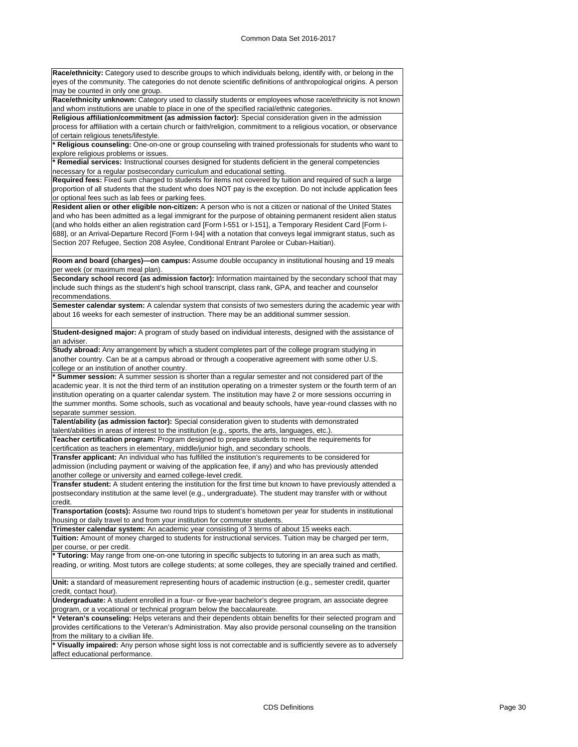**Race/ethnicity:** Category used to describe groups to which individuals belong, identify with, or belong in the eyes of the community. The categories do not denote scientific definitions of anthropological origins. A person may be counted in only one group.

**Race/ethnicity unknown:** Category used to classify students or employees whose race/ethnicity is not known and whom institutions are unable to place in one of the specified racial/ethnic categories.

**Religious affiliation/commitment (as admission factor):** Special consideration given in the admission process for affiliation with a certain church or faith/religion, commitment to a religious vocation, or observance of certain religious tenets/lifestyle.

**\* Religious counseling:** One-on-one or group counseling with trained professionals for students who want to explore religious problems or issues.

**\* Remedial services:** Instructional courses designed for students deficient in the general competencies necessary for a regular postsecondary curriculum and educational setting.

**Required fees:** Fixed sum charged to students for items not covered by tuition and required of such a large proportion of all students that the student who does NOT pay is the exception. Do not include application fees or optional fees such as lab fees or parking fees.

**Resident alien or other eligible non-citizen:** A person who is not a citizen or national of the United States and who has been admitted as a legal immigrant for the purpose of obtaining permanent resident alien status (and who holds either an alien registration card [Form I-551 or I-151], a Temporary Resident Card [Form I-688], or an Arrival-Departure Record [Form I-94] with a notation that conveys legal immigrant status, such as Section 207 Refugee, Section 208 Asylee, Conditional Entrant Parolee or Cuban-Haitian).

**Room and board (charges)—on campus:** Assume double occupancy in institutional housing and 19 meals per week (or maximum meal plan).

**Secondary school record (as admission factor):** Information maintained by the secondary school that may include such things as the student's high school transcript, class rank, GPA, and teacher and counselor recommendations.

**Semester calendar system:** A calendar system that consists of two semesters during the academic year with about 16 weeks for each semester of instruction. There may be an additional summer session.

**Student-designed major:** A program of study based on individual interests, designed with the assistance of an adviser.

**Study abroad:** Any arrangement by which a student completes part of the college program studying in another country. Can be at a campus abroad or through a cooperative agreement with some other U.S. college or an institution of another country.

**\* Summer session:** A summer session is shorter than a regular semester and not considered part of the academic year. It is not the third term of an institution operating on a trimester system or the fourth term of an institution operating on a quarter calendar system. The institution may have 2 or more sessions occurring in the summer months. Some schools, such as vocational and beauty schools, have year-round classes with no separate summer session.

**Talent/ability (as admission factor):** Special consideration given to students with demonstrated talent/abilities in areas of interest to the institution (e.g., sports, the arts, languages, etc.) **Teacher certification program:** Program designed to prepare students to meet the requirements for

certification as teachers in elementary, middle/junior high, and secondary schools.

**Transfer applicant:** An individual who has fulfilled the institution's requirements to be considered for admission (including payment or waiving of the application fee, if any) and who has previously attended another college or university and earned college-level credit.

**Transfer student:** A student entering the institution for the first time but known to have previously attended a postsecondary institution at the same level (e.g., undergraduate). The student may transfer with or without credit.

**Transportation (costs):** Assume two round trips to student's hometown per year for students in institutional housing or daily travel to and from your institution for commuter students.

**Trimester calendar system:** An academic year consisting of 3 terms of about 15 weeks each.

**Tuition:** Amount of money charged to students for instructional services. Tuition may be charged per term, per course, or per credit.

**\* Tutoring:** May range from one-on-one tutoring in specific subjects to tutoring in an area such as math, reading, or writing. Most tutors are college students; at some colleges, they are specially trained and certified.

**Unit:** a standard of measurement representing hours of academic instruction (e.g., semester credit, quarter credit, contact hour).

**Undergraduate:** A student enrolled in a four- or five-year bachelor's degree program, an associate degree program, or a vocational or technical program below the baccalaureate.

**\* Veteran's counseling:** Helps veterans and their dependents obtain benefits for their selected program and provides certifications to the Veteran's Administration. May also provide personal counseling on the transition from the military to a civilian life.

**\* Visually impaired:** Any person whose sight loss is not correctable and is sufficiently severe as to adversely affect educational performance.